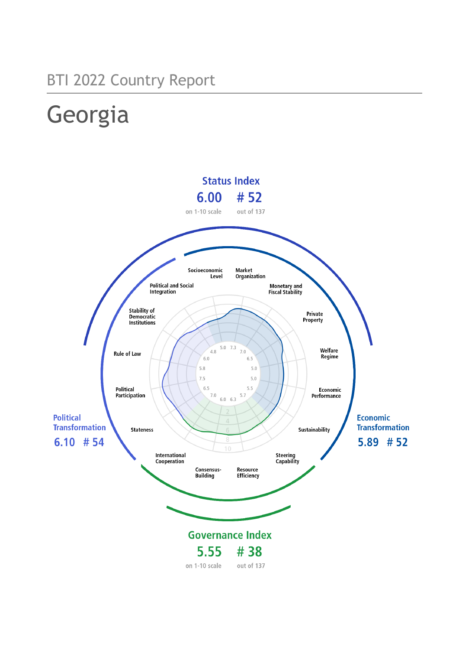## BTI 2022 Country Report

# Georgia

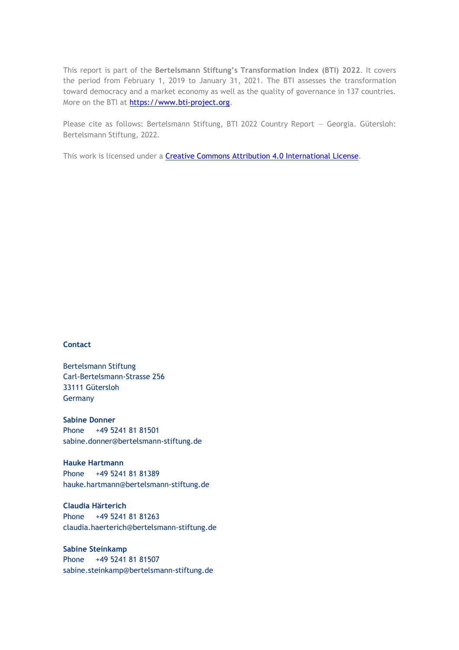This report is part of the **Bertelsmann Stiftung's Transformation Index (BTI) 2022**. It covers the period from February 1, 2019 to January 31, 2021. The BTI assesses the transformation toward democracy and a market economy as well as the quality of governance in 137 countries. More on the BTI at [https://www.bti-project.org.](https://www.bti-project.org/)

Please cite as follows: Bertelsmann Stiftung, BTI 2022 Country Report — Georgia. Gütersloh: Bertelsmann Stiftung, 2022.

This work is licensed under a **Creative Commons Attribution 4.0 International License**.

### **Contact**

Bertelsmann Stiftung Carl-Bertelsmann-Strasse 256 33111 Gütersloh Germany

**Sabine Donner** Phone +49 5241 81 81501 sabine.donner@bertelsmann-stiftung.de

**Hauke Hartmann** Phone +49 5241 81 81389 hauke.hartmann@bertelsmann-stiftung.de

**Claudia Härterich** Phone +49 5241 81 81263 claudia.haerterich@bertelsmann-stiftung.de

### **Sabine Steinkamp** Phone +49 5241 81 81507 sabine.steinkamp@bertelsmann-stiftung.de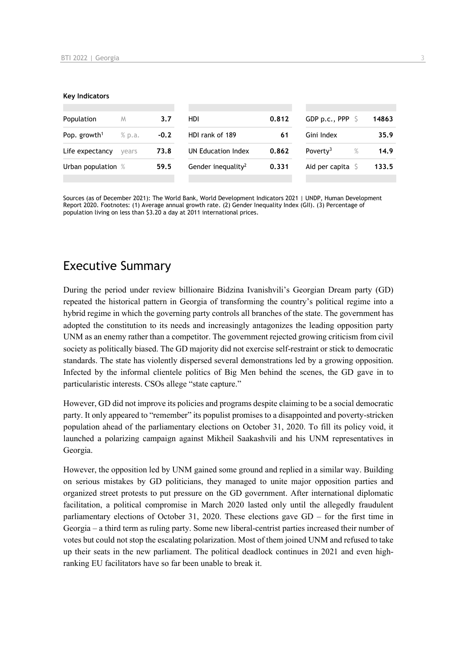#### **Key Indicators**

| Population                         | M     | 3.7    | HDI                            | 0.812 | GDP p.c., PPP $\sqrt{5}$     | 14863 |
|------------------------------------|-------|--------|--------------------------------|-------|------------------------------|-------|
| Pop. growth <sup>1</sup><br>% p.a. |       | $-0.2$ | HDI rank of 189                | 61    | Gini Index                   | 35.9  |
| Life expectancy                    | vears | 73.8   | UN Education Index             | 0.862 | Poverty <sup>3</sup><br>$\%$ | 14.9  |
| Urban population %                 |       | 59.5   | Gender inequality <sup>2</sup> | 0.331 | Aid per capita               | 133.5 |
|                                    |       |        |                                |       |                              |       |

Sources (as of December 2021): The World Bank, World Development Indicators 2021 | UNDP, Human Development Report 2020. Footnotes: (1) Average annual growth rate. (2) Gender Inequality Index (GII). (3) Percentage of population living on less than \$3.20 a day at 2011 international prices.

## Executive Summary

During the period under review billionaire Bidzina Ivanishvili's Georgian Dream party (GD) repeated the historical pattern in Georgia of transforming the country's political regime into a hybrid regime in which the governing party controls all branches of the state. The government has adopted the constitution to its needs and increasingly antagonizes the leading opposition party UNM as an enemy rather than a competitor. The government rejected growing criticism from civil society as politically biased. The GD majority did not exercise self-restraint or stick to democratic standards. The state has violently dispersed several demonstrations led by a growing opposition. Infected by the informal clientele politics of Big Men behind the scenes, the GD gave in to particularistic interests. CSOs allege "state capture."

However, GD did not improve its policies and programs despite claiming to be a social democratic party. It only appeared to "remember" its populist promises to a disappointed and poverty-stricken population ahead of the parliamentary elections on October 31, 2020. To fill its policy void, it launched a polarizing campaign against Mikheil Saakashvili and his UNM representatives in Georgia.

However, the opposition led by UNM gained some ground and replied in a similar way. Building on serious mistakes by GD politicians, they managed to unite major opposition parties and organized street protests to put pressure on the GD government. After international diplomatic facilitation, a political compromise in March 2020 lasted only until the allegedly fraudulent parliamentary elections of October 31, 2020. These elections gave GD – for the first time in Georgia – a third term as ruling party. Some new liberal-centrist parties increased their number of votes but could not stop the escalating polarization. Most of them joined UNM and refused to take up their seats in the new parliament. The political deadlock continues in 2021 and even highranking EU facilitators have so far been unable to break it.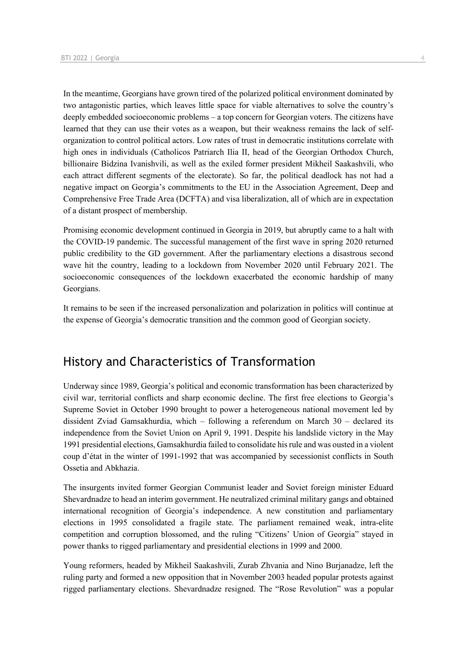In the meantime, Georgians have grown tired of the polarized political environment dominated by two antagonistic parties, which leaves little space for viable alternatives to solve the country's deeply embedded socioeconomic problems – a top concern for Georgian voters. The citizens have learned that they can use their votes as a weapon, but their weakness remains the lack of selforganization to control political actors. Low rates of trust in democratic institutions correlate with high ones in individuals (Catholicos Patriarch Ilia II, head of the Georgian Orthodox Church, billionaire Bidzina Ivanishvili, as well as the exiled former president Mikheil Saakashvili, who each attract different segments of the electorate). So far, the political deadlock has not had a negative impact on Georgia's commitments to the EU in the Association Agreement, Deep and Comprehensive Free Trade Area (DCFTA) and visa liberalization, all of which are in expectation of a distant prospect of membership.

Promising economic development continued in Georgia in 2019, but abruptly came to a halt with the COVID-19 pandemic. The successful management of the first wave in spring 2020 returned public credibility to the GD government. After the parliamentary elections a disastrous second wave hit the country, leading to a lockdown from November 2020 until February 2021. The socioeconomic consequences of the lockdown exacerbated the economic hardship of many Georgians.

It remains to be seen if the increased personalization and polarization in politics will continue at the expense of Georgia's democratic transition and the common good of Georgian society.

## History and Characteristics of Transformation

Underway since 1989, Georgia's political and economic transformation has been characterized by civil war, territorial conflicts and sharp economic decline. The first free elections to Georgia's Supreme Soviet in October 1990 brought to power a heterogeneous national movement led by dissident Zviad Gamsakhurdia, which – following a referendum on March 30 – declared its independence from the Soviet Union on April 9, 1991. Despite his landslide victory in the May 1991 presidential elections, Gamsakhurdia failed to consolidate his rule and was ousted in a violent coup d'état in the winter of 1991-1992 that was accompanied by secessionist conflicts in South Ossetia and Abkhazia.

The insurgents invited former Georgian Communist leader and Soviet foreign minister Eduard Shevardnadze to head an interim government. He neutralized criminal military gangs and obtained international recognition of Georgia's independence. A new constitution and parliamentary elections in 1995 consolidated a fragile state. The parliament remained weak, intra-elite competition and corruption blossomed, and the ruling "Citizens' Union of Georgia" stayed in power thanks to rigged parliamentary and presidential elections in 1999 and 2000.

Young reformers, headed by Mikheil Saakashvili, Zurab Zhvania and Nino Burjanadze, left the ruling party and formed a new opposition that in November 2003 headed popular protests against rigged parliamentary elections. Shevardnadze resigned. The "Rose Revolution" was a popular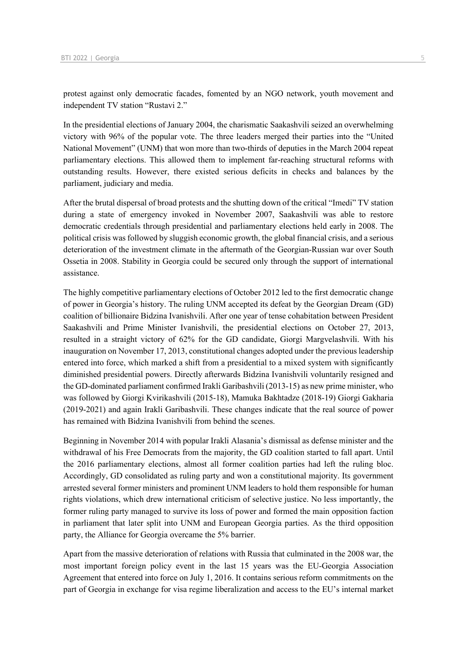protest against only democratic facades, fomented by an NGO network, youth movement and independent TV station "Rustavi 2."

In the presidential elections of January 2004, the charismatic Saakashvili seized an overwhelming victory with 96% of the popular vote. The three leaders merged their parties into the "United National Movement" (UNM) that won more than two-thirds of deputies in the March 2004 repeat parliamentary elections. This allowed them to implement far-reaching structural reforms with outstanding results. However, there existed serious deficits in checks and balances by the parliament, judiciary and media.

After the brutal dispersal of broad protests and the shutting down of the critical "Imedi" TV station during a state of emergency invoked in November 2007, Saakashvili was able to restore democratic credentials through presidential and parliamentary elections held early in 2008. The political crisis was followed by sluggish economic growth, the global financial crisis, and a serious deterioration of the investment climate in the aftermath of the Georgian-Russian war over South Ossetia in 2008. Stability in Georgia could be secured only through the support of international assistance.

The highly competitive parliamentary elections of October 2012 led to the first democratic change of power in Georgia's history. The ruling UNM accepted its defeat by the Georgian Dream (GD) coalition of billionaire Bidzina Ivanishvili. After one year of tense cohabitation between President Saakashvili and Prime Minister Ivanishvili, the presidential elections on October 27, 2013, resulted in a straight victory of 62% for the GD candidate, Giorgi Margvelashvili. With his inauguration on November 17, 2013, constitutional changes adopted under the previous leadership entered into force, which marked a shift from a presidential to a mixed system with significantly diminished presidential powers. Directly afterwards Bidzina Ivanishvili voluntarily resigned and the GD-dominated parliament confirmed Irakli Garibashvili (2013-15) as new prime minister, who was followed by Giorgi Kvirikashvili (2015-18), Mamuka Bakhtadze (2018-19) Giorgi Gakharia (2019-2021) and again Irakli Garibashvili. These changes indicate that the real source of power has remained with Bidzina Ivanishvili from behind the scenes.

Beginning in November 2014 with popular Irakli Alasania's dismissal as defense minister and the withdrawal of his Free Democrats from the majority, the GD coalition started to fall apart. Until the 2016 parliamentary elections, almost all former coalition parties had left the ruling bloc. Accordingly, GD consolidated as ruling party and won a constitutional majority. Its government arrested several former ministers and prominent UNM leaders to hold them responsible for human rights violations, which drew international criticism of selective justice. No less importantly, the former ruling party managed to survive its loss of power and formed the main opposition faction in parliament that later split into UNM and European Georgia parties. As the third opposition party, the Alliance for Georgia overcame the 5% barrier.

Apart from the massive deterioration of relations with Russia that culminated in the 2008 war, the most important foreign policy event in the last 15 years was the EU-Georgia Association Agreement that entered into force on July 1, 2016. It contains serious reform commitments on the part of Georgia in exchange for visa regime liberalization and access to the EU's internal market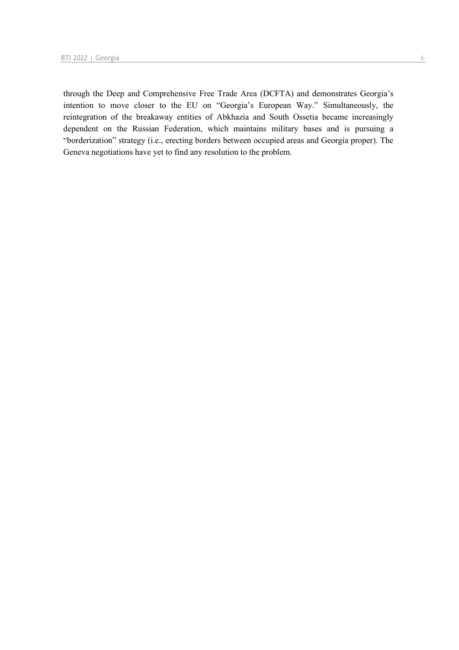through the Deep and Comprehensive Free Trade Area (DCFTA) and demonstrates Georgia's intention to move closer to the EU on "Georgia's European Way." Simultaneously, the reintegration of the breakaway entities of Abkhazia and South Ossetia became increasingly dependent on the Russian Federation, which maintains military bases and is pursuing a "borderization" strategy (i.e., erecting borders between occupied areas and Georgia proper). The Geneva negotiations have yet to find any resolution to the problem.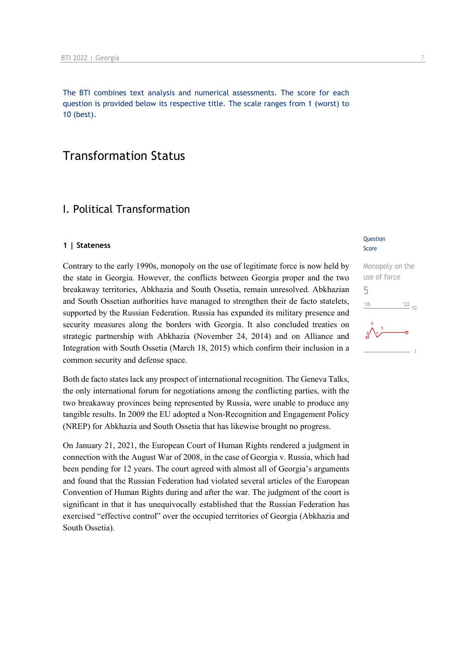The BTI combines text analysis and numerical assessments. The score for each question is provided below its respective title. The scale ranges from 1 (worst) to 10 (best).

## Transformation Status

## I. Political Transformation

### **1 | Stateness**

Contrary to the early 1990s, monopoly on the use of legitimate force is now held by the state in Georgia. However, the conflicts between Georgia proper and the two breakaway territories, Abkhazia and South Ossetia, remain unresolved. Abkhazian and South Ossetian authorities have managed to strengthen their de facto statelets, supported by the Russian Federation. Russia has expanded its military presence and security measures along the borders with Georgia. It also concluded treaties on strategic partnership with Abkhazia (November 24, 2014) and on Alliance and Integration with South Ossetia (March 18, 2015) which confirm their inclusion in a common security and defense space.

Both de facto states lack any prospect of international recognition. The Geneva Talks, the only international forum for negotiations among the conflicting parties, with the two breakaway provinces being represented by Russia, were unable to produce any tangible results. In 2009 the EU adopted a Non-Recognition and Engagement Policy (NREP) for Abkhazia and South Ossetia that has likewise brought no progress.

On January 21, 2021, the European Court of Human Rights rendered a judgment in connection with the August War of 2008, in the case of Georgia v. Russia, which had been pending for 12 years. The court agreed with almost all of Georgia's arguments and found that the Russian Federation had violated several articles of the European Convention of Human Rights during and after the war. The judgment of the court is significant in that it has unequivocally established that the Russian Federation has exercised "effective control" over the occupied territories of Georgia (Abkhazia and South Ossetia).

### **Question** Score

Monopoly on the use of force 5 $\frac{22}{10}$  $106$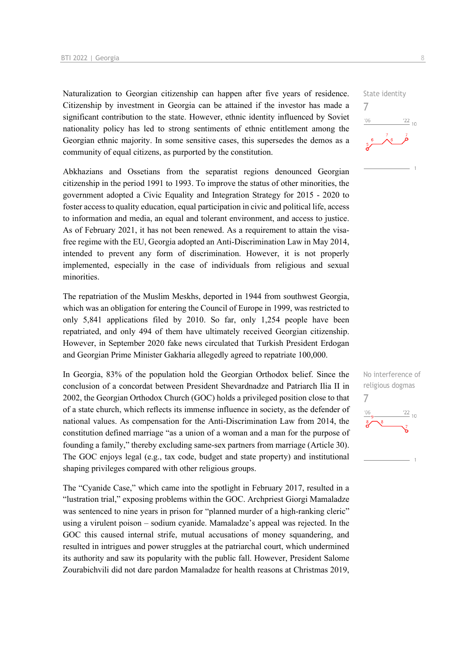Naturalization to Georgian citizenship can happen after five years of residence. Citizenship by investment in Georgia can be attained if the investor has made a significant contribution to the state. However, ethnic identity influenced by Soviet nationality policy has led to strong sentiments of ethnic entitlement among the Georgian ethnic majority. In some sensitive cases, this supersedes the demos as a community of equal citizens, as purported by the constitution.

Abkhazians and Ossetians from the separatist regions denounced Georgian citizenship in the period 1991 to 1993. To improve the status of other minorities, the government adopted a Civic Equality and Integration Strategy for 2015 - 2020 to foster access to quality education, equal participation in civic and political life, access to information and media, an equal and tolerant environment, and access to justice. As of February 2021, it has not been renewed. As a requirement to attain the visafree regime with the EU, Georgia adopted an Anti-Discrimination Law in May 2014, intended to prevent any form of discrimination. However, it is not properly implemented, especially in the case of individuals from religious and sexual minorities.

The repatriation of the Muslim Meskhs, deported in 1944 from southwest Georgia, which was an obligation for entering the Council of Europe in 1999, was restricted to only 5,841 applications filed by 2010. So far, only 1,254 people have been repatriated, and only 494 of them have ultimately received Georgian citizenship. However, in September 2020 fake news circulated that Turkish President Erdogan and Georgian Prime Minister Gakharia allegedly agreed to repatriate 100,000.

In Georgia, 83% of the population hold the Georgian Orthodox belief. Since the conclusion of a concordat between President Shevardnadze and Patriarch Ilia II in 2002, the Georgian Orthodox Church (GOC) holds a privileged position close to that of a state church, which reflects its immense influence in society, as the defender of national values. As compensation for the Anti-Discrimination Law from 2014, the constitution defined marriage "as a union of a woman and a man for the purpose of founding a family," thereby excluding same-sex partners from marriage (Article 30). The GOC enjoys legal (e.g., tax code, budget and state property) and institutional shaping privileges compared with other religious groups.

The "Cyanide Case," which came into the spotlight in February 2017, resulted in a "lustration trial," exposing problems within the GOC. Archpriest Giorgi Mamaladze was sentenced to nine years in prison for "planned murder of a high-ranking cleric" using a virulent poison – sodium cyanide. Mamaladze's appeal was rejected. In the GOC this caused internal strife, mutual accusations of money squandering, and resulted in intrigues and power struggles at the patriarchal court, which undermined its authority and saw its popularity with the public fall. However, President Salome Zourabichvili did not dare pardon Mamaladze for health reasons at Christmas 2019,



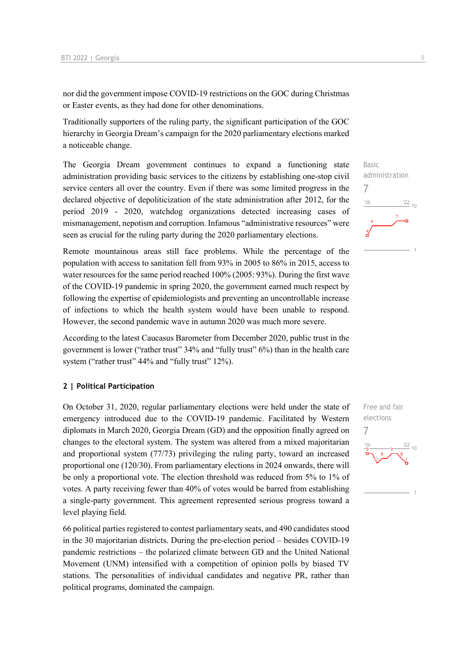nor did the government impose COVID-19 restrictions on the GOC during Christmas or Easter events, as they had done for other denominations.

Traditionally supporters of the ruling party, the significant participation of the GOC hierarchy in Georgia Dream's campaign for the 2020 parliamentary elections marked a noticeable change.

The Georgia Dream government continues to expand a functioning state administration providing basic services to the citizens by establishing one-stop civil service centers all over the country. Even if there was some limited progress in the declared objective of depoliticization of the state administration after 2012, for the period 2019 - 2020, watchdog organizations detected increasing cases of mismanagement, nepotism and corruption. Infamous "administrative resources" were seen as crucial for the ruling party during the 2020 parliamentary elections.

Remote mountainous areas still face problems. While the percentage of the population with access to sanitation fell from 93% in 2005 to 86% in 2015, access to water resources for the same period reached 100% (2005: 93%). During the first wave of the COVID-19 pandemic in spring 2020, the government earned much respect by following the expertise of epidemiologists and preventing an uncontrollable increase of infections to which the health system would have been unable to respond. However, the second pandemic wave in autumn 2020 was much more severe.

According to the latest Caucasus Barometer from December 2020, public trust in the government is lower ("rather trust" 34% and "fully trust" 6%) than in the health care system ("rather trust" 44% and "fully trust" 12%).

### **2 | Political Participation**

On October 31, 2020, regular parliamentary elections were held under the state of emergency introduced due to the COVID-19 pandemic. Facilitated by Western diplomats in March 2020, Georgia Dream (GD) and the opposition finally agreed on changes to the electoral system. The system was altered from a mixed majoritarian and proportional system (77/73) privileging the ruling party, toward an increased proportional one (120/30). From parliamentary elections in 2024 onwards, there will be only a proportional vote. The election threshold was reduced from 5% to 1% of votes. A party receiving fewer than 40% of votes would be barred from establishing a single-party government. This agreement represented serious progress toward a level playing field.

66 political parties registered to contest parliamentary seats, and 490 candidates stood in the 30 majoritarian districts. During the pre-election period – besides COVID-19 pandemic restrictions – the polarized climate between GD and the United National Movement (UNM) intensified with a competition of opinion polls by biased TV stations. The personalities of individual candidates and negative PR, rather than political programs, dominated the campaign.

Basic administration 7  $\frac{22}{10}$ 

Free and fair elections 7

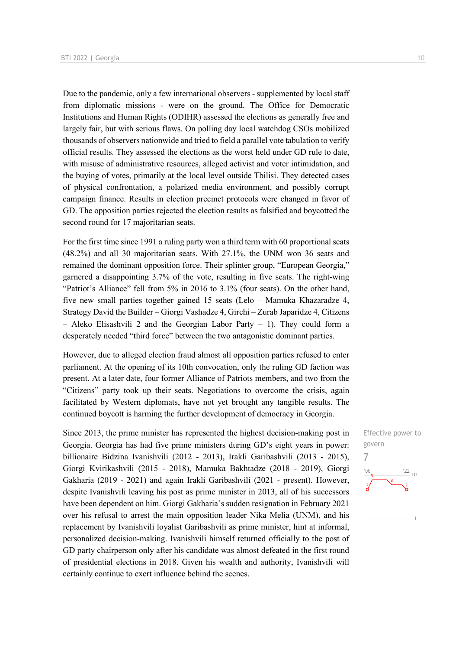Due to the pandemic, only a few international observers - supplemented by local staff from diplomatic missions - were on the ground. The Office for Democratic Institutions and Human Rights (ODIHR) assessed the elections as generally free and largely fair, but with serious flaws. On polling day local watchdog CSOs mobilized thousands of observers nationwide and tried to field a parallel vote tabulation to verify official results. They assessed the elections as the worst held under GD rule to date, with misuse of administrative resources, alleged activist and voter intimidation, and the buying of votes, primarily at the local level outside Tbilisi. They detected cases of physical confrontation, a polarized media environment, and possibly corrupt campaign finance. Results in election precinct protocols were changed in favor of GD. The opposition parties rejected the election results as falsified and boycotted the second round for 17 majoritarian seats.

For the first time since 1991 a ruling party won a third term with 60 proportional seats (48.2%) and all 30 majoritarian seats. With 27.1%, the UNM won 36 seats and remained the dominant opposition force. Their splinter group, "European Georgia," garnered a disappointing 3.7% of the vote, resulting in five seats. The right-wing "Patriot's Alliance" fell from 5% in 2016 to 3.1% (four seats). On the other hand, five new small parties together gained 15 seats (Lelo – Mamuka Khazaradze 4, Strategy David the Builder – Giorgi Vashadze 4, Girchi – Zurab Japaridze 4, Citizens  $-$  Aleko Elisashvili 2 and the Georgian Labor Party  $-$  1). They could form a desperately needed "third force" between the two antagonistic dominant parties.

However, due to alleged election fraud almost all opposition parties refused to enter parliament. At the opening of its 10th convocation, only the ruling GD faction was present. At a later date, four former Alliance of Patriots members, and two from the "Citizens" party took up their seats. Negotiations to overcome the crisis, again facilitated by Western diplomats, have not yet brought any tangible results. The continued boycott is harming the further development of democracy in Georgia.

Since 2013, the prime minister has represented the highest decision-making post in Georgia. Georgia has had five prime ministers during GD's eight years in power: billionaire Bidzina Ivanishvili (2012 - 2013), Irakli Garibashvili (2013 - 2015), Giorgi Kvirikashvili (2015 - 2018), Mamuka Bakhtadze (2018 - 2019), Giorgi Gakharia (2019 - 2021) and again Irakli Garibashvili (2021 - present). However, despite Ivanishvili leaving his post as prime minister in 2013, all of his successors have been dependent on him. Giorgi Gakharia's sudden resignation in February 2021 over his refusal to arrest the main opposition leader Nika Melia (UNM), and his replacement by Ivanishvili loyalist Garibashvili as prime minister, hint at informal, personalized decision-making. Ivanishvili himself returned officially to the post of GD party chairperson only after his candidate was almost defeated in the first round of presidential elections in 2018. Given his wealth and authority, Ivanishvili will certainly continue to exert influence behind the scenes.

Effective power to govern 7 $\frac{22}{10}$  $^{\prime}$ OF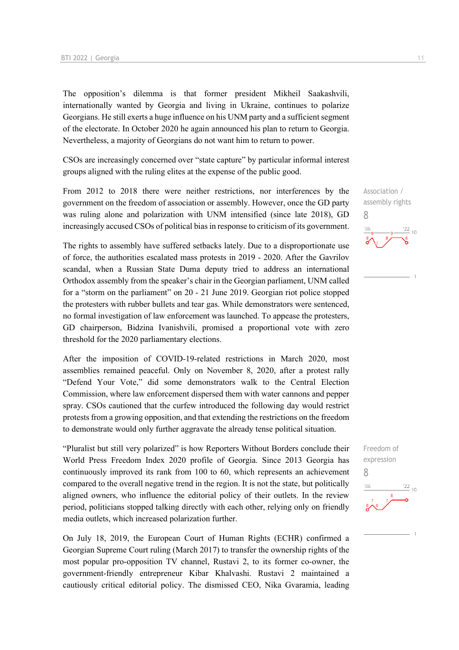The opposition's dilemma is that former president Mikheil Saakashvili, internationally wanted by Georgia and living in Ukraine, continues to polarize Georgians. He still exerts a huge influence on his UNM party and a sufficient segment of the electorate. In October 2020 he again announced his plan to return to Georgia. Nevertheless, a majority of Georgians do not want him to return to power.

CSOs are increasingly concerned over "state capture" by particular informal interest groups aligned with the ruling elites at the expense of the public good.

From 2012 to 2018 there were neither restrictions, nor interferences by the government on the freedom of association or assembly. However, once the GD party was ruling alone and polarization with UNM intensified (since late 2018), GD increasingly accused CSOs of political bias in response to criticism of its government.

The rights to assembly have suffered setbacks lately. Due to a disproportionate use of force, the authorities escalated mass protests in 2019 - 2020. After the Gavrilov scandal, when a Russian State Duma deputy tried to address an international Orthodox assembly from the speaker's chair in the Georgian parliament, UNM called for a "storm on the parliament" on 20 - 21 June 2019. Georgian riot police stopped the protesters with rubber bullets and tear gas. While demonstrators were sentenced, no formal investigation of law enforcement was launched. To appease the protesters, GD chairperson, Bidzina Ivanishvili, promised a proportional vote with zero threshold for the 2020 parliamentary elections.

After the imposition of COVID-19-related restrictions in March 2020, most assemblies remained peaceful. Only on November 8, 2020, after a protest rally "Defend Your Vote," did some demonstrators walk to the Central Election Commission, where law enforcement dispersed them with water cannons and pepper spray. CSOs cautioned that the curfew introduced the following day would restrict protests from a growing opposition, and that extending the restrictions on the freedom to demonstrate would only further aggravate the already tense political situation.

"Pluralist but still very polarized" is how Reporters Without Borders conclude their World Press Freedom Index 2020 profile of Georgia. Since 2013 Georgia has continuously improved its rank from 100 to 60, which represents an achievement compared to the overall negative trend in the region. It is not the state, but politically aligned owners, who influence the editorial policy of their outlets. In the review period, politicians stopped talking directly with each other, relying only on friendly media outlets, which increased polarization further.

On July 18, 2019, the European Court of Human Rights (ECHR) confirmed a Georgian Supreme Court ruling (March 2017) to transfer the ownership rights of the most popular pro-opposition TV channel, Rustavi 2, to its former co-owner, the government-friendly entrepreneur Kibar Khalvashi. Rustavi 2 maintained a cautiously critical editorial policy. The dismissed CEO, Nika Gvaramia, leading

Association / assembly rights 8  $\frac{22}{10}$ 

Freedom of expression 8 $\frac{22}{10}$  $-06$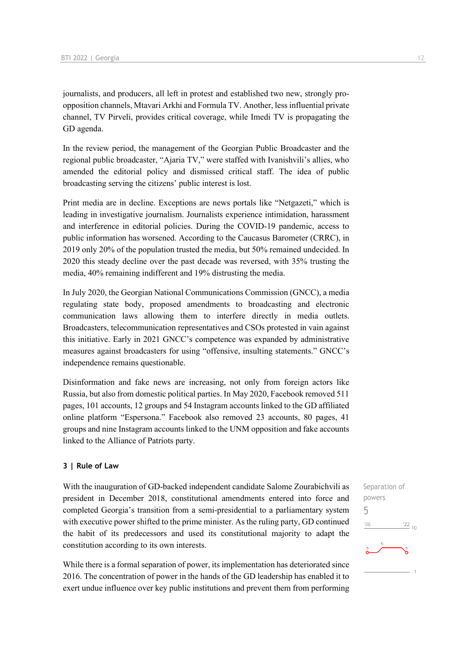journalists, and producers, all left in protest and established two new, strongly proopposition channels, Mtavari Arkhi and Formula TV. Another, less influential private channel, TV Pirveli, provides critical coverage, while Imedi TV is propagating the GD agenda.

In the review period, the management of the Georgian Public Broadcaster and the regional public broadcaster, "Ajaria TV," were staffed with Ivanishvili's allies, who amended the editorial policy and dismissed critical staff. The idea of public broadcasting serving the citizens' public interest is lost.

Print media are in decline. Exceptions are news portals like "Netgazeti," which is leading in investigative journalism. Journalists experience intimidation, harassment and interference in editorial policies. During the COVID-19 pandemic, access to public information has worsened. According to the Caucasus Barometer (CRRC), in 2019 only 20% of the population trusted the media, but 50% remained undecided. In 2020 this steady decline over the past decade was reversed, with 35% trusting the media, 40% remaining indifferent and 19% distrusting the media.

In July 2020, the Georgian National Communications Commission (GNCC), a media regulating state body, proposed amendments to broadcasting and electronic communication laws allowing them to interfere directly in media outlets. Broadcasters, telecommunication representatives and CSOs protested in vain against this initiative. Early in 2021 GNCC's competence was expanded by administrative measures against broadcasters for using "offensive, insulting statements." GNCC's independence remains questionable.

Disinformation and fake news are increasing, not only from foreign actors like Russia, but also from domestic political parties. In May 2020, Facebook removed 511 pages, 101 accounts, 12 groups and 54 Instagram accounts linked to the GD affiliated online platform "Espersona." Facebook also removed 23 accounts, 80 pages, 41 groups and nine Instagram accounts linked to the UNM opposition and fake accounts linked to the Alliance of Patriots party.

### **3 | Rule of Law**

With the inauguration of GD-backed independent candidate Salome Zourabichvili as president in December 2018, constitutional amendments entered into force and completed Georgia's transition from a semi-presidential to a parliamentary system with executive power shifted to the prime minister. As the ruling party, GD continued the habit of its predecessors and used its constitutional majority to adapt the constitution according to its own interests.

While there is a formal separation of power, its implementation has deteriorated since 2016. The concentration of power in the hands of the GD leadership has enabled it to exert undue influence over key public institutions and prevent them from performing Separation of powers 5 $-06$  $\frac{22}{10}$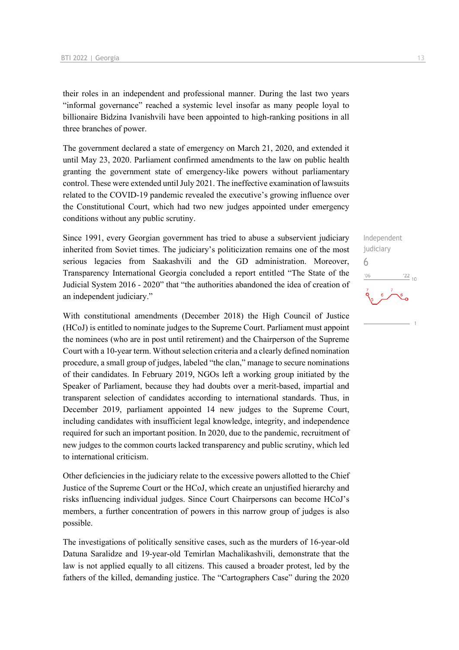their roles in an independent and professional manner. During the last two years "informal governance" reached a systemic level insofar as many people loyal to billionaire Bidzina Ivanishvili have been appointed to high-ranking positions in all three branches of power.

The government declared a state of emergency on March 21, 2020, and extended it until May 23, 2020. Parliament confirmed amendments to the law on public health granting the government state of emergency-like powers without parliamentary control. These were extended until July 2021. The ineffective examination of lawsuits related to the COVID-19 pandemic revealed the executive's growing influence over the Constitutional Court, which had two new judges appointed under emergency conditions without any public scrutiny.

Since 1991, every Georgian government has tried to abuse a subservient judiciary inherited from Soviet times. The judiciary's politicization remains one of the most serious legacies from Saakashvili and the GD administration. Moreover, Transparency International Georgia concluded a report entitled "The State of the Judicial System 2016 - 2020" that "the authorities abandoned the idea of creation of an independent judiciary."

With constitutional amendments (December 2018) the High Council of Justice (HCoJ) is entitled to nominate judges to the Supreme Court. Parliament must appoint the nominees (who are in post until retirement) and the Chairperson of the Supreme Court with a 10-year term. Without selection criteria and a clearly defined nomination procedure, a small group of judges, labeled "the clan," manage to secure nominations of their candidates. In February 2019, NGOs left a working group initiated by the Speaker of Parliament, because they had doubts over a merit-based, impartial and transparent selection of candidates according to international standards. Thus, in December 2019, parliament appointed 14 new judges to the Supreme Court, including candidates with insufficient legal knowledge, integrity, and independence required for such an important position. In 2020, due to the pandemic, recruitment of new judges to the common courts lacked transparency and public scrutiny, which led to international criticism.

Other deficiencies in the judiciary relate to the excessive powers allotted to the Chief Justice of the Supreme Court or the HCoJ, which create an unjustified hierarchy and risks influencing individual judges. Since Court Chairpersons can become HCoJ's members, a further concentration of powers in this narrow group of judges is also possible.

The investigations of politically sensitive cases, such as the murders of 16-year-old Datuna Saralidze and 19-year-old Temirlan Machalikashvili, demonstrate that the law is not applied equally to all citizens. This caused a broader protest, led by the fathers of the killed, demanding justice. The "Cartographers Case" during the 2020

Independent judiciary 6 $\frac{22}{10}$  $-06$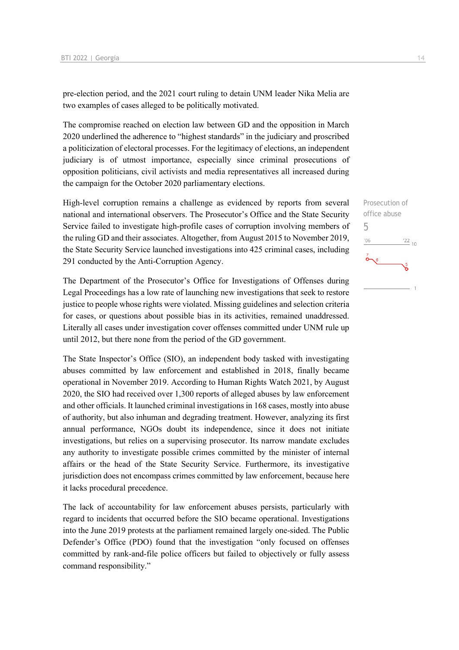pre-election period, and the 2021 court ruling to detain UNM leader Nika Melia are two examples of cases alleged to be politically motivated.

The compromise reached on election law between GD and the opposition in March 2020 underlined the adherence to "highest standards" in the judiciary and proscribed a politicization of electoral processes. For the legitimacy of elections, an independent judiciary is of utmost importance, especially since criminal prosecutions of opposition politicians, civil activists and media representatives all increased during the campaign for the October 2020 parliamentary elections.

High-level corruption remains a challenge as evidenced by reports from several national and international observers. The Prosecutor's Office and the State Security Service failed to investigate high-profile cases of corruption involving members of the ruling GD and their associates. Altogether, from August 2015 to November 2019, the State Security Service launched investigations into 425 criminal cases, including 291 conducted by the Anti-Corruption Agency.

The Department of the Prosecutor's Office for Investigations of Offenses during Legal Proceedings has a low rate of launching new investigations that seek to restore justice to people whose rights were violated. Missing guidelines and selection criteria for cases, or questions about possible bias in its activities, remained unaddressed. Literally all cases under investigation cover offenses committed under UNM rule up until 2012, but there none from the period of the GD government.

The State Inspector's Office (SIO), an independent body tasked with investigating abuses committed by law enforcement and established in 2018, finally became operational in November 2019. According to Human Rights Watch 2021, by August 2020, the SIO had received over 1,300 reports of alleged abuses by law enforcement and other officials. It launched criminal investigations in 168 cases, mostly into abuse of authority, but also inhuman and degrading treatment. However, analyzing its first annual performance, NGOs doubt its independence, since it does not initiate investigations, but relies on a supervising prosecutor. Its narrow mandate excludes any authority to investigate possible crimes committed by the minister of internal affairs or the head of the State Security Service. Furthermore, its investigative jurisdiction does not encompass crimes committed by law enforcement, because here it lacks procedural precedence.

The lack of accountability for law enforcement abuses persists, particularly with regard to incidents that occurred before the SIO became operational. Investigations into the June 2019 protests at the parliament remained largely one-sided. The Public Defender's Office (PDO) found that the investigation "only focused on offenses committed by rank-and-file police officers but failed to objectively or fully assess command responsibility."

Prosecution of office abuse 5 $\frac{1}{22}$  10  $'06$  $\int_{0}^{7}$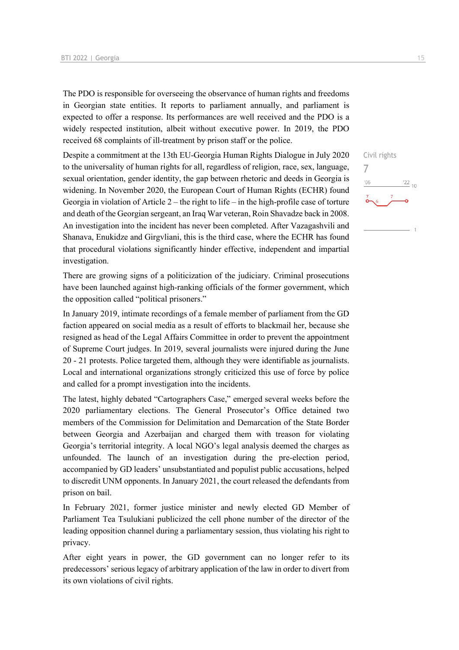The PDO is responsible for overseeing the observance of human rights and freedoms in Georgian state entities. It reports to parliament annually, and parliament is expected to offer a response. Its performances are well received and the PDO is a widely respected institution, albeit without executive power. In 2019, the PDO received 68 complaints of ill-treatment by prison staff or the police.

Despite a commitment at the 13th EU-Georgia Human Rights Dialogue in July 2020 to the universality of human rights for all, regardless of religion, race, sex, language, sexual orientation, gender identity, the gap between rhetoric and deeds in Georgia is widening. In November 2020, the European Court of Human Rights (ECHR) found Georgia in violation of Article 2 – the right to life – in the high-profile case of torture and death of the Georgian sergeant, an Iraq War veteran, Roin Shavadze back in 2008. An investigation into the incident has never been completed. After Vazagashvili and Shanava, Enukidze and Girgvliani, this is the third case, where the ECHR has found that procedural violations significantly hinder effective, independent and impartial investigation.

There are growing signs of a politicization of the judiciary. Criminal prosecutions have been launched against high-ranking officials of the former government, which the opposition called "political prisoners."

In January 2019, intimate recordings of a female member of parliament from the GD faction appeared on social media as a result of efforts to blackmail her, because she resigned as head of the Legal Affairs Committee in order to prevent the appointment of Supreme Court judges. In 2019, several journalists were injured during the June 20 - 21 protests. Police targeted them, although they were identifiable as journalists. Local and international organizations strongly criticized this use of force by police and called for a prompt investigation into the incidents.

The latest, highly debated "Cartographers Case," emerged several weeks before the 2020 parliamentary elections. The General Prosecutor's Office detained two members of the Commission for Delimitation and Demarcation of the State Border between Georgia and Azerbaijan and charged them with treason for violating Georgia's territorial integrity. A local NGO's legal analysis deemed the charges as unfounded. The launch of an investigation during the pre-election period, accompanied by GD leaders' unsubstantiated and populist public accusations, helped to discredit UNM opponents. In January 2021, the court released the defendants from prison on bail.

In February 2021, former justice minister and newly elected GD Member of Parliament Tea Tsulukiani publicized the cell phone number of the director of the leading opposition channel during a parliamentary session, thus violating his right to privacy.

After eight years in power, the GD government can no longer refer to its predecessors' serious legacy of arbitrary application of the law in order to divert from its own violations of civil rights.

Civil rights 7 $-06$  $^{22}$  10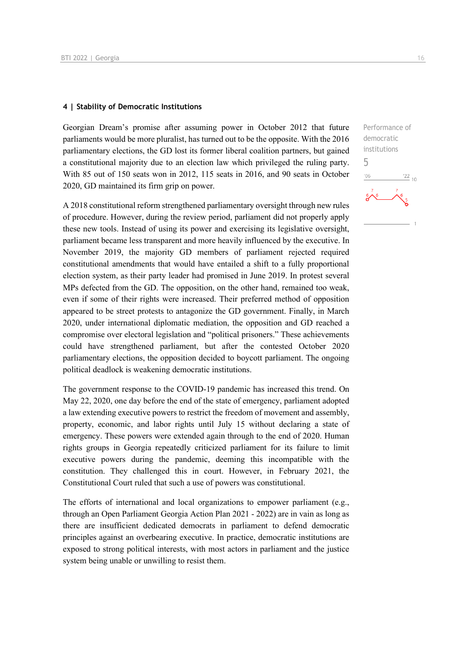### **4 | Stability of Democratic Institutions**

Georgian Dream's promise after assuming power in October 2012 that future parliaments would be more pluralist, has turned out to be the opposite. With the 2016 parliamentary elections, the GD lost its former liberal coalition partners, but gained a constitutional majority due to an election law which privileged the ruling party. With 85 out of 150 seats won in 2012, 115 seats in 2016, and 90 seats in October 2020, GD maintained its firm grip on power.

A 2018 constitutional reform strengthened parliamentary oversight through new rules of procedure. However, during the review period, parliament did not properly apply these new tools. Instead of using its power and exercising its legislative oversight, parliament became less transparent and more heavily influenced by the executive. In November 2019, the majority GD members of parliament rejected required constitutional amendments that would have entailed a shift to a fully proportional election system, as their party leader had promised in June 2019. In protest several MPs defected from the GD. The opposition, on the other hand, remained too weak, even if some of their rights were increased. Their preferred method of opposition appeared to be street protests to antagonize the GD government. Finally, in March 2020, under international diplomatic mediation, the opposition and GD reached a compromise over electoral legislation and "political prisoners." These achievements could have strengthened parliament, but after the contested October 2020 parliamentary elections, the opposition decided to boycott parliament. The ongoing political deadlock is weakening democratic institutions.

The government response to the COVID-19 pandemic has increased this trend. On May 22, 2020, one day before the end of the state of emergency, parliament adopted a law extending executive powers to restrict the freedom of movement and assembly, property, economic, and labor rights until July 15 without declaring a state of emergency. These powers were extended again through to the end of 2020. Human rights groups in Georgia repeatedly criticized parliament for its failure to limit executive powers during the pandemic, deeming this incompatible with the constitution. They challenged this in court. However, in February 2021, the Constitutional Court ruled that such a use of powers was constitutional.

The efforts of international and local organizations to empower parliament (e.g., through an Open Parliament Georgia Action Plan 2021 - 2022) are in vain as long as there are insufficient dedicated democrats in parliament to defend democratic principles against an overbearing executive. In practice, democratic institutions are exposed to strong political interests, with most actors in parliament and the justice system being unable or unwilling to resist them.

Performance of democratic institutions

 $\frac{22}{10}$ 

5

 $106$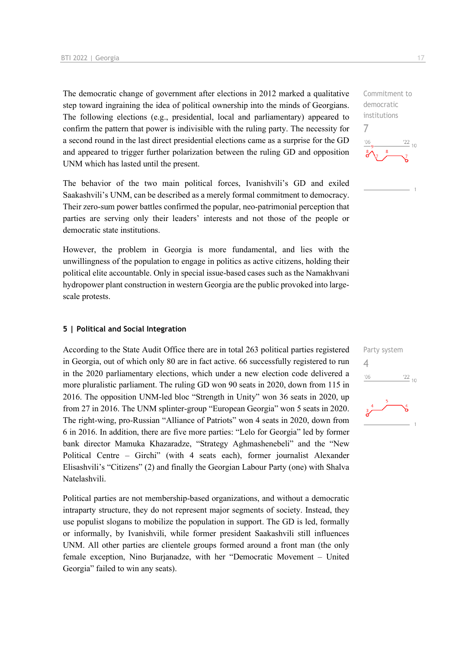The democratic change of government after elections in 2012 marked a qualitative step toward ingraining the idea of political ownership into the minds of Georgians. The following elections (e.g., presidential, local and parliamentary) appeared to confirm the pattern that power is indivisible with the ruling party. The necessity for a second round in the last direct presidential elections came as a surprise for the GD and appeared to trigger further polarization between the ruling GD and opposition UNM which has lasted until the present.

The behavior of the two main political forces, Ivanishvili's GD and exiled Saakashvili's UNM, can be described as a merely formal commitment to democracy. Their zero-sum power battles confirmed the popular, neo-patrimonial perception that parties are serving only their leaders' interests and not those of the people or democratic state institutions.

However, the problem in Georgia is more fundamental, and lies with the unwillingness of the population to engage in politics as active citizens, holding their political elite accountable. Only in special issue-based cases such as the Namakhvani hydropower plant construction in western Georgia are the public provoked into largescale protests.

### **5 | Political and Social Integration**

According to the State Audit Office there are in total 263 political parties registered in Georgia, out of which only 80 are in fact active. 66 successfully registered to run in the 2020 parliamentary elections, which under a new election code delivered a more pluralistic parliament. The ruling GD won 90 seats in 2020, down from 115 in 2016. The opposition UNM-led bloc "Strength in Unity" won 36 seats in 2020, up from 27 in 2016. The UNM splinter-group "European Georgia" won 5 seats in 2020. The right-wing, pro-Russian "Alliance of Patriots" won 4 seats in 2020, down from 6 in 2016. In addition, there are five more parties: "Lelo for Georgia" led by former bank director Mamuka Khazaradze, "Strategy Aghmashenebeli" and the "New Political Centre – Girchi" (with 4 seats each), former journalist Alexander Elisashvili's "Citizens" (2) and finally the Georgian Labour Party (one) with Shalva Natelashvili.

Political parties are not membership-based organizations, and without a democratic intraparty structure, they do not represent major segments of society. Instead, they use populist slogans to mobilize the population in support. The GD is led, formally or informally, by Ivanishvili, while former president Saakashvili still influences UNM. All other parties are clientele groups formed around a front man (the only female exception, Nino Burjanadze, with her "Democratic Movement – United Georgia" failed to win any seats).

Commitment to democratic institutions 7  $\frac{22}{10}$ 

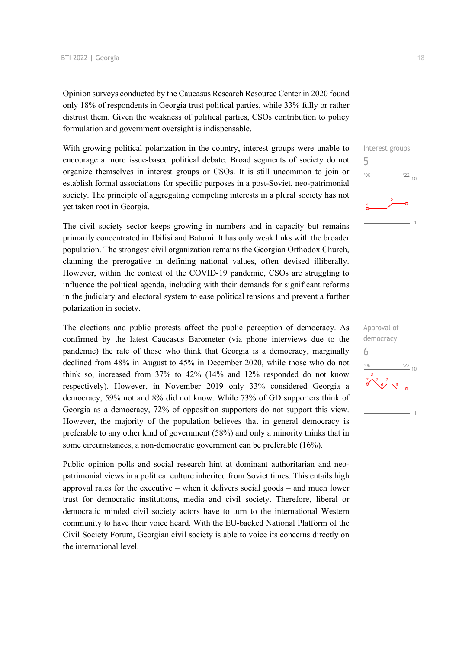Opinion surveys conducted by the Caucasus Research Resource Center in 2020 found only 18% of respondents in Georgia trust political parties, while 33% fully or rather distrust them. Given the weakness of political parties, CSOs contribution to policy formulation and government oversight is indispensable.

With growing political polarization in the country, interest groups were unable to encourage a more issue-based political debate. Broad segments of society do not organize themselves in interest groups or CSOs. It is still uncommon to join or establish formal associations for specific purposes in a post-Soviet, neo-patrimonial society. The principle of aggregating competing interests in a plural society has not yet taken root in Georgia.

The civil society sector keeps growing in numbers and in capacity but remains primarily concentrated in Tbilisi and Batumi. It has only weak links with the broader population. The strongest civil organization remains the Georgian Orthodox Church, claiming the prerogative in defining national values, often devised illiberally. However, within the context of the COVID-19 pandemic, CSOs are struggling to influence the political agenda, including with their demands for significant reforms in the judiciary and electoral system to ease political tensions and prevent a further polarization in society.

The elections and public protests affect the public perception of democracy. As confirmed by the latest Caucasus Barometer (via phone interviews due to the pandemic) the rate of those who think that Georgia is a democracy, marginally declined from 48% in August to 45% in December 2020, while those who do not think so, increased from 37% to 42% (14% and 12% responded do not know respectively). However, in November 2019 only 33% considered Georgia a democracy, 59% not and 8% did not know. While 73% of GD supporters think of Georgia as a democracy, 72% of opposition supporters do not support this view. However, the majority of the population believes that in general democracy is preferable to any other kind of government (58%) and only a minority thinks that in some circumstances, a non-democratic government can be preferable (16%).

Public opinion polls and social research hint at dominant authoritarian and neopatrimonial views in a political culture inherited from Soviet times. This entails high approval rates for the executive – when it delivers social goods – and much lower trust for democratic institutions, media and civil society. Therefore, liberal or democratic minded civil society actors have to turn to the international Western community to have their voice heard. With the EU-backed National Platform of the Civil Society Forum, Georgian civil society is able to voice its concerns directly on the international level.

5

 $-06$ 

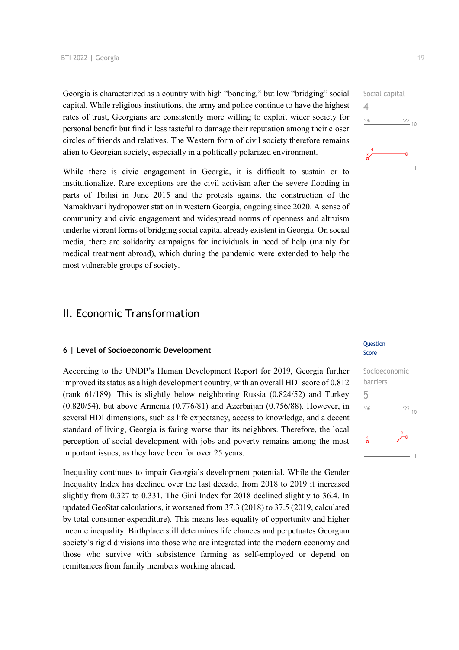Georgia is characterized as a country with high "bonding," but low "bridging" social capital. While religious institutions, the army and police continue to have the highest rates of trust, Georgians are consistently more willing to exploit wider society for personal benefit but find it less tasteful to damage their reputation among their closer circles of friends and relatives. The Western form of civil society therefore remains alien to Georgian society, especially in a politically polarized environment.

While there is civic engagement in Georgia, it is difficult to sustain or to institutionalize. Rare exceptions are the civil activism after the severe flooding in parts of Tbilisi in June 2015 and the protests against the construction of the Namakhvani hydropower station in western Georgia, ongoing since 2020. A sense of community and civic engagement and widespread norms of openness and altruism underlie vibrant forms of bridging social capital already existent in Georgia. On social media, there are solidarity campaigns for individuals in need of help (mainly for medical treatment abroad), which during the pandemic were extended to help the most vulnerable groups of society.

### II. Economic Transformation

### **6 | Level of Socioeconomic Development**

According to the UNDP's Human Development Report for 2019, Georgia further improved its status as a high development country, with an overall HDI score of 0.812 (rank 61/189). This is slightly below neighboring Russia (0.824/52) and Turkey (0.820/54), but above Armenia (0.776/81) and Azerbaijan (0.756/88). However, in several HDI dimensions, such as life expectancy, access to knowledge, and a decent standard of living, Georgia is faring worse than its neighbors. Therefore, the local perception of social development with jobs and poverty remains among the most important issues, as they have been for over 25 years.

Inequality continues to impair Georgia's development potential. While the Gender Inequality Index has declined over the last decade, from 2018 to 2019 it increased slightly from 0.327 to 0.331. The Gini Index for 2018 declined slightly to 36.4. In updated GeoStat calculations, it worsened from 37.3 (2018) to 37.5 (2019, calculated by total consumer expenditure). This means less equality of opportunity and higher income inequality. Birthplace still determines life chances and perpetuates Georgian society's rigid divisions into those who are integrated into the modern economy and those who survive with subsistence farming as self-employed or depend on remittances from family members working abroad.



### **Ouestion** Score

## Socioeconomic barriers 5 $06'$  $\frac{22}{10}$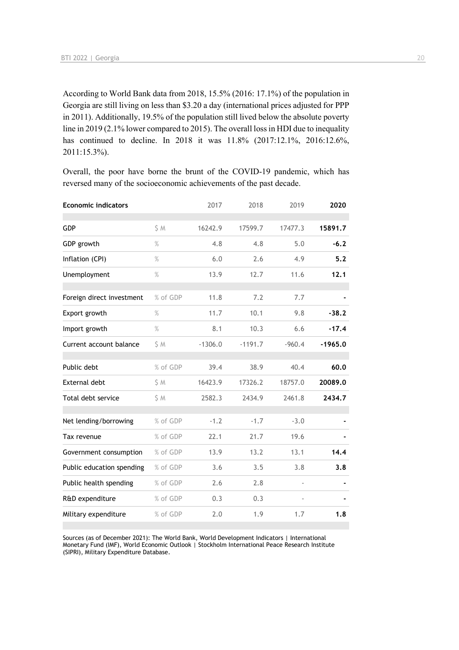According to World Bank data from 2018, 15.5% (2016: 17.1%) of the population in Georgia are still living on less than \$3.20 a day (international prices adjusted for PPP in 2011). Additionally, 19.5% of the population still lived below the absolute poverty line in 2019 (2.1% lower compared to 2015). The overall loss in HDI due to inequality has continued to decline. In 2018 it was 11.8% (2017:12.1%, 2016:12.6%, 2011:15.3%).

Overall, the poor have borne the brunt of the COVID-19 pandemic, which has reversed many of the socioeconomic achievements of the past decade.

| <b>Economic indicators</b> |          | 2017      | 2018      | 2019     | 2020      |
|----------------------------|----------|-----------|-----------|----------|-----------|
| GDP                        | \$M      | 16242.9   | 17599.7   | 17477.3  | 15891.7   |
| GDP growth                 | $\%$     | 4.8       | 4.8       | 5.0      | $-6.2$    |
| Inflation (CPI)            | $\%$     | 6.0       | 2.6       | 4.9      | 5.2       |
| Unemployment               | $\%$     | 13.9      | 12.7      | 11.6     | 12.1      |
| Foreign direct investment  | % of GDP | 11.8      | 7.2       | 7.7      |           |
| Export growth              | $\%$     | 11.7      | 10.1      | 9.8      | $-38.2$   |
| Import growth              | $\%$     | 8.1       | 10.3      | 6.6      | $-17.4$   |
| Current account balance    | S M      | $-1306.0$ | $-1191.7$ | $-960.4$ | $-1965.0$ |
| Public debt                | % of GDP | 39.4      | 38.9      | 40.4     | 60.0      |
| <b>External debt</b>       | \$ M     | 16423.9   | 17326.2   | 18757.0  | 20089.0   |
| Total debt service         | \$M      | 2582.3    | 2434.9    | 2461.8   | 2434.7    |
| Net lending/borrowing      | % of GDP | $-1.2$    | $-1.7$    | $-3.0$   |           |
| Tax revenue                | % of GDP | 22.1      | 21.7      | 19.6     |           |
| Government consumption     | % of GDP | 13.9      | 13.2      | 13.1     | 14.4      |
| Public education spending  | % of GDP | 3.6       | 3.5       | 3.8      | 3.8       |
| Public health spending     | % of GDP | 2.6       | 2.8       |          |           |
| R&D expenditure            | % of GDP | 0.3       | 0.3       |          |           |
| Military expenditure       | % of GDP | 2.0       | 1.9       | 1.7      | 1.8       |

Sources (as of December 2021): The World Bank, World Development Indicators | International Monetary Fund (IMF), World Economic Outlook | Stockholm International Peace Research Institute (SIPRI), Military Expenditure Database.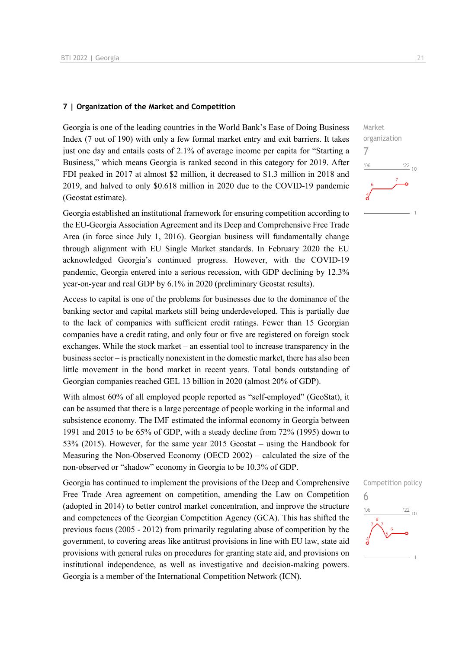### **7 | Organization of the Market and Competition**

Georgia is one of the leading countries in the World Bank's Ease of Doing Business Index (7 out of 190) with only a few formal market entry and exit barriers. It takes just one day and entails costs of 2.1% of average income per capita for "Starting a Business," which means Georgia is ranked second in this category for 2019. After FDI peaked in 2017 at almost \$2 million, it decreased to \$1.3 million in 2018 and 2019, and halved to only \$0.618 million in 2020 due to the COVID-19 pandemic (Geostat estimate).

Georgia established an institutional framework for ensuring competition according to the EU-Georgia Association Agreement and its Deep and Comprehensive Free Trade Area (in force since July 1, 2016). Georgian business will fundamentally change through alignment with EU Single Market standards. In February 2020 the EU acknowledged Georgia's continued progress. However, with the COVID-19 pandemic, Georgia entered into a serious recession, with GDP declining by 12.3% year-on-year and real GDP by 6.1% in 2020 (preliminary Geostat results).

Access to capital is one of the problems for businesses due to the dominance of the banking sector and capital markets still being underdeveloped. This is partially due to the lack of companies with sufficient credit ratings. Fewer than 15 Georgian companies have a credit rating, and only four or five are registered on foreign stock exchanges. While the stock market – an essential tool to increase transparency in the business sector – is practically nonexistent in the domestic market, there has also been little movement in the bond market in recent years. Total bonds outstanding of Georgian companies reached GEL 13 billion in 2020 (almost 20% of GDP).

With almost 60% of all employed people reported as "self-employed" (GeoStat), it can be assumed that there is a large percentage of people working in the informal and subsistence economy. The IMF estimated the informal economy in Georgia between 1991 and 2015 to be 65% of GDP, with a steady decline from 72% (1995) down to 53% (2015). However, for the same year 2015 Geostat – using the Handbook for Measuring the Non-Observed Economy (OECD 2002) – calculated the size of the non-observed or "shadow" economy in Georgia to be 10.3% of GDP.

Georgia has continued to implement the provisions of the Deep and Comprehensive Free Trade Area agreement on competition, amending the Law on Competition (adopted in 2014) to better control market concentration, and improve the structure and competences of the Georgian Competition Agency (GCA). This has shifted the previous focus (2005 - 2012) from primarily regulating abuse of competition by the government, to covering areas like antitrust provisions in line with EU law, state aid provisions with general rules on procedures for granting state aid, and provisions on institutional independence, as well as investigative and decision-making powers. Georgia is a member of the International Competition Network (ICN).



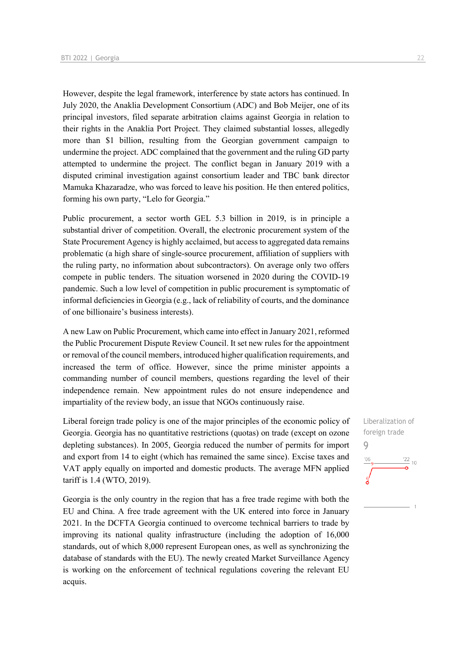However, despite the legal framework, interference by state actors has continued. In July 2020, the Anaklia Development Consortium (ADC) and Bob Meijer, one of its principal investors, filed separate arbitration claims against Georgia in relation to their rights in the Anaklia Port Project. They claimed substantial losses, allegedly more than \$1 billion, resulting from the Georgian government campaign to undermine the project. ADC complained that the government and the ruling GD party attempted to undermine the project. The conflict began in January 2019 with a disputed criminal investigation against consortium leader and TBC bank director Mamuka Khazaradze, who was forced to leave his position. He then entered politics, forming his own party, "Lelo for Georgia."

Public procurement, a sector worth GEL 5.3 billion in 2019, is in principle a substantial driver of competition. Overall, the electronic procurement system of the State Procurement Agency is highly acclaimed, but access to aggregated data remains problematic (a high share of single-source procurement, affiliation of suppliers with the ruling party, no information about subcontractors). On average only two offers compete in public tenders. The situation worsened in 2020 during the COVID-19 pandemic. Such a low level of competition in public procurement is symptomatic of informal deficiencies in Georgia (e.g., lack of reliability of courts, and the dominance of one billionaire's business interests).

A new Law on Public Procurement, which came into effect in January 2021, reformed the Public Procurement Dispute Review Council. It set new rules for the appointment or removal of the council members, introduced higher qualification requirements, and increased the term of office. However, since the prime minister appoints a commanding number of council members, questions regarding the level of their independence remain. New appointment rules do not ensure independence and impartiality of the review body, an issue that NGOs continuously raise.

Liberal foreign trade policy is one of the major principles of the economic policy of Georgia. Georgia has no quantitative restrictions (quotas) on trade (except on ozone depleting substances). In 2005, Georgia reduced the number of permits for import and export from 14 to eight (which has remained the same since). Excise taxes and VAT apply equally on imported and domestic products. The average MFN applied tariff is 1.4 (WTO, 2019).

Georgia is the only country in the region that has a free trade regime with both the EU and China. A free trade agreement with the UK entered into force in January 2021. In the DCFTA Georgia continued to overcome technical barriers to trade by improving its national quality infrastructure (including the adoption of 16,000 standards, out of which 8,000 represent European ones, as well as synchronizing the database of standards with the EU). The newly created Market Surveillance Agency is working on the enforcement of technical regulations covering the relevant EU acquis.

Liberalization of foreign trade  $\overline{Q}$  $\frac{22}{10}$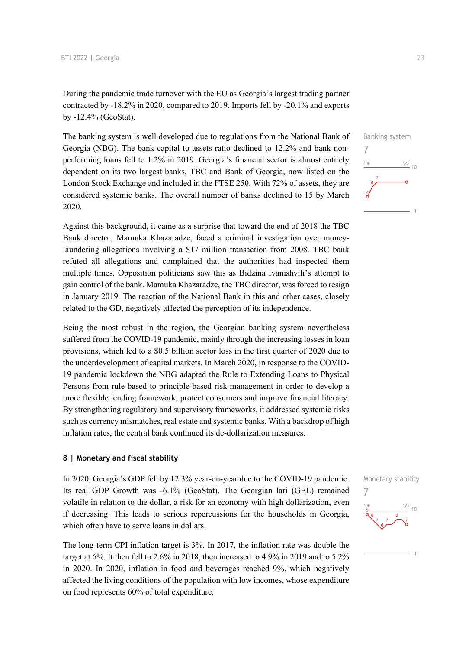During the pandemic trade turnover with the EU as Georgia's largest trading partner contracted by -18.2% in 2020, compared to 2019. Imports fell by -20.1% and exports by -12.4% (GeoStat).

The banking system is well developed due to regulations from the National Bank of Georgia (NBG). The bank capital to assets ratio declined to 12.2% and bank nonperforming loans fell to 1.2% in 2019. Georgia's financial sector is almost entirely dependent on its two largest banks, TBC and Bank of Georgia, now listed on the London Stock Exchange and included in the FTSE 250. With 72% of assets, they are considered systemic banks. The overall number of banks declined to 15 by March 2020.

Against this background, it came as a surprise that toward the end of 2018 the TBC Bank director, Mamuka Khazaradze, faced a criminal investigation over moneylaundering allegations involving a \$17 million transaction from 2008. TBC bank refuted all allegations and complained that the authorities had inspected them multiple times. Opposition politicians saw this as Bidzina Ivanishvili's attempt to gain control of the bank. Mamuka Khazaradze, the TBC director, was forced to resign in January 2019. The reaction of the National Bank in this and other cases, closely related to the GD, negatively affected the perception of its independence.

Being the most robust in the region, the Georgian banking system nevertheless suffered from the COVID-19 pandemic, mainly through the increasing losses in loan provisions, which led to a \$0.5 billion sector loss in the first quarter of 2020 due to the underdevelopment of capital markets. In March 2020, in response to the COVID-19 pandemic lockdown the NBG adapted the Rule to Extending Loans to Physical Persons from rule-based to principle-based risk management in order to develop a more flexible lending framework, protect consumers and improve financial literacy. By strengthening regulatory and supervisory frameworks, it addressed systemic risks such as currency mismatches, real estate and systemic banks. With a backdrop of high inflation rates, the central bank continued its de-dollarization measures.

### **8 | Monetary and fiscal stability**

In 2020, Georgia's GDP fell by 12.3% year-on-year due to the COVID-19 pandemic. Its real GDP Growth was -6.1% (GeoStat). The Georgian lari (GEL) remained volatile in relation to the dollar, a risk for an economy with high dollarization, even if decreasing. This leads to serious repercussions for the households in Georgia, which often have to serve loans in dollars.

The long-term CPI inflation target is 3%. In 2017, the inflation rate was double the target at 6%. It then fell to 2.6% in 2018, then increased to 4.9% in 2019 and to 5.2% in 2020. In 2020, inflation in food and beverages reached 9%, which negatively affected the living conditions of the population with low incomes, whose expenditure on food represents 60% of total expenditure.



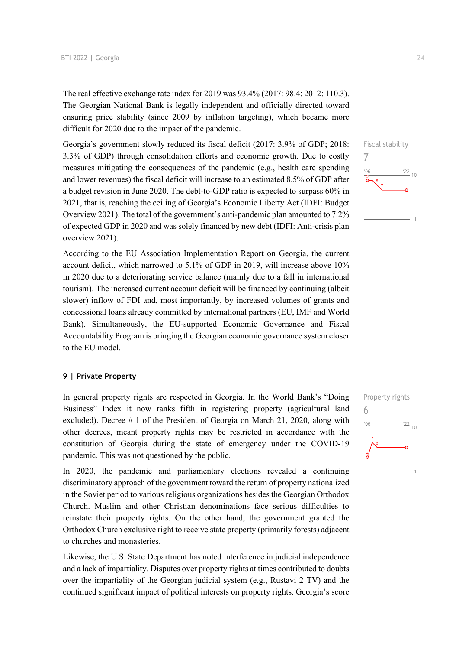The real effective exchange rate index for 2019 was 93.4% (2017: 98.4; 2012: 110.3). The Georgian National Bank is legally independent and officially directed toward ensuring price stability (since 2009 by inflation targeting), which became more difficult for 2020 due to the impact of the pandemic.

Georgia's government slowly reduced its fiscal deficit (2017: 3.9% of GDP; 2018: 3.3% of GDP) through consolidation efforts and economic growth. Due to costly measures mitigating the consequences of the pandemic (e.g., health care spending and lower revenues) the fiscal deficit will increase to an estimated 8.5% of GDP after a budget revision in June 2020. The debt-to-GDP ratio is expected to surpass 60% in 2021, that is, reaching the ceiling of Georgia's Economic Liberty Act (IDFI: Budget Overview 2021). The total of the government's anti-pandemic plan amounted to 7.2% of expected GDP in 2020 and was solely financed by new debt (IDFI: Anti-crisis plan overview 2021).

According to the EU Association Implementation Report on Georgia, the current account deficit, which narrowed to 5.1% of GDP in 2019, will increase above 10% in 2020 due to a deteriorating service balance (mainly due to a fall in international tourism). The increased current account deficit will be financed by continuing (albeit slower) inflow of FDI and, most importantly, by increased volumes of grants and concessional loans already committed by international partners (EU, IMF and World Bank). Simultaneously, the EU-supported Economic Governance and Fiscal Accountability Program is bringing the Georgian economic governance system closer to the EU model.

### **9 | Private Property**

In general property rights are respected in Georgia. In the World Bank's "Doing Business" Index it now ranks fifth in registering property (agricultural land excluded). Decree # 1 of the President of Georgia on March 21, 2020, along with other decrees, meant property rights may be restricted in accordance with the constitution of Georgia during the state of emergency under the COVID-19 pandemic. This was not questioned by the public.

In 2020, the pandemic and parliamentary elections revealed a continuing discriminatory approach of the government toward the return of property nationalized in the Soviet period to various religious organizations besides the Georgian Orthodox Church. Muslim and other Christian denominations face serious difficulties to reinstate their property rights. On the other hand, the government granted the Orthodox Church exclusive right to receive state property (primarily forests) adjacent to churches and monasteries.

Likewise, the U.S. State Department has noted interference in judicial independence and a lack of impartiality. Disputes over property rights at times contributed to doubts over the impartiality of the Georgian judicial system (e.g., Rustavi 2 TV) and the continued significant impact of political interests on property rights. Georgia's score



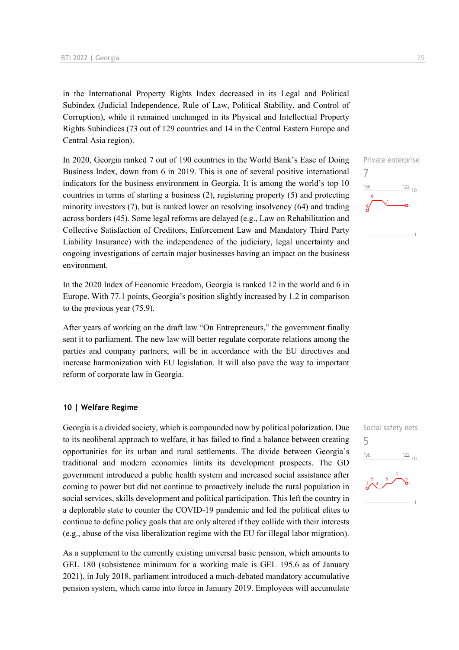in the International Property Rights Index decreased in its Legal and Political Subindex (Judicial Independence, Rule of Law, Political Stability, and Control of Corruption), while it remained unchanged in its Physical and Intellectual Property Rights Subindices (73 out of 129 countries and 14 in the Central Eastern Europe and Central Asia region).

In 2020, Georgia ranked 7 out of 190 countries in the World Bank's Ease of Doing Business Index, down from 6 in 2019. This is one of several positive international indicators for the business environment in Georgia. It is among the world's top 10 countries in terms of starting a business (2), registering property (5) and protecting minority investors (7), but is ranked lower on resolving insolvency (64) and trading across borders (45). Some legal reforms are delayed (e.g., Law on Rehabilitation and Collective Satisfaction of Creditors, Enforcement Law and Mandatory Third Party Liability Insurance) with the independence of the judiciary, legal uncertainty and ongoing investigations of certain major businesses having an impact on the business environment.

In the 2020 Index of Economic Freedom, Georgia is ranked 12 in the world and 6 in Europe. With 77.1 points, Georgia's position slightly increased by 1.2 in comparison to the previous year (75.9).

After years of working on the draft law "On Entrepreneurs," the government finally sent it to parliament. The new law will better regulate corporate relations among the parties and company partners; will be in accordance with the EU directives and increase harmonization with EU legislation. It will also pave the way to important reform of corporate law in Georgia.

### **10 | Welfare Regime**

Georgia is a divided society, which is compounded now by political polarization. Due to its neoliberal approach to welfare, it has failed to find a balance between creating opportunities for its urban and rural settlements. The divide between Georgia's traditional and modern economies limits its development prospects. The GD government introduced a public health system and increased social assistance after coming to power but did not continue to proactively include the rural population in social services, skills development and political participation. This left the country in a deplorable state to counter the COVID-19 pandemic and led the political elites to continue to define policy goals that are only altered if they collide with their interests (e.g., abuse of the visa liberalization regime with the EU for illegal labor migration).

As a supplement to the currently existing universal basic pension, which amounts to GEL 180 (subsistence minimum for a working male is GEL 195.6 as of January 2021), in July 2018, parliament introduced a much-debated mandatory accumulative pension system, which came into force in January 2019. Employees will accumulate



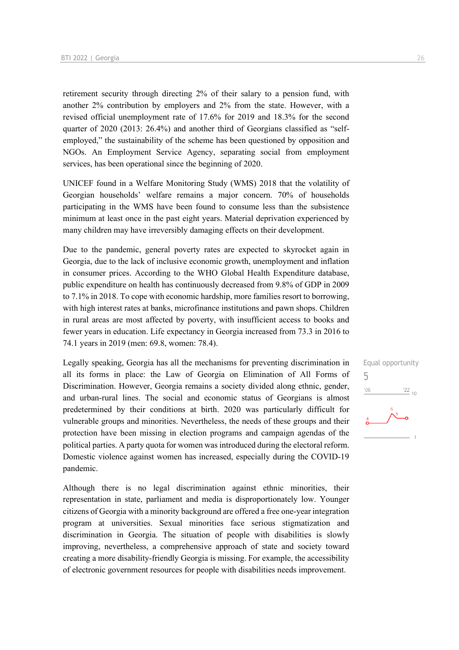retirement security through directing 2% of their salary to a pension fund, with another 2% contribution by employers and 2% from the state. However, with a revised official unemployment rate of 17.6% for 2019 and 18.3% for the second quarter of 2020 (2013: 26.4%) and another third of Georgians classified as "selfemployed," the sustainability of the scheme has been questioned by opposition and NGOs. An Employment Service Agency, separating social from employment services, has been operational since the beginning of 2020.

UNICEF found in a Welfare Monitoring Study (WMS) 2018 that the volatility of Georgian households' welfare remains a major concern. 70% of households participating in the WMS have been found to consume less than the subsistence minimum at least once in the past eight years. Material deprivation experienced by many children may have irreversibly damaging effects on their development.

Due to the pandemic, general poverty rates are expected to skyrocket again in Georgia, due to the lack of inclusive economic growth, unemployment and inflation in consumer prices. According to the WHO Global Health Expenditure database, public expenditure on health has continuously decreased from 9.8% of GDP in 2009 to 7.1% in 2018. To cope with economic hardship, more families resort to borrowing, with high interest rates at banks, microfinance institutions and pawn shops. Children in rural areas are most affected by poverty, with insufficient access to books and fewer years in education. Life expectancy in Georgia increased from 73.3 in 2016 to 74.1 years in 2019 (men: 69.8, women: 78.4).

Legally speaking, Georgia has all the mechanisms for preventing discrimination in all its forms in place: the Law of Georgia on Elimination of All Forms of Discrimination. However, Georgia remains a society divided along ethnic, gender, and urban-rural lines. The social and economic status of Georgians is almost predetermined by their conditions at birth. 2020 was particularly difficult for vulnerable groups and minorities. Nevertheless, the needs of these groups and their protection have been missing in election programs and campaign agendas of the political parties. A party quota for women was introduced during the electoral reform. Domestic violence against women has increased, especially during the COVID-19 pandemic.

Although there is no legal discrimination against ethnic minorities, their representation in state, parliament and media is disproportionately low. Younger citizens of Georgia with a minority background are offered a free one-year integration program at universities. Sexual minorities face serious stigmatization and discrimination in Georgia. The situation of people with disabilities is slowly improving, nevertheless, a comprehensive approach of state and society toward creating a more disability-friendly Georgia is missing. For example, the accessibility of electronic government resources for people with disabilities needs improvement.

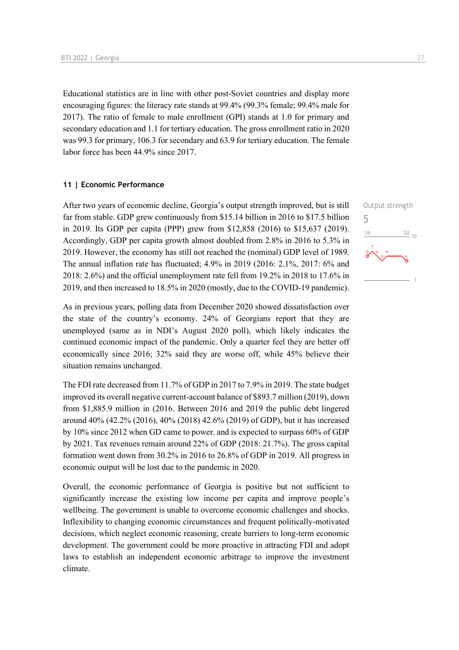Educational statistics are in line with other post-Soviet countries and display more encouraging figures: the literacy rate stands at 99.4% (99.3% female; 99.4% male for 2017). The ratio of female to male enrollment (GPI) stands at 1.0 for primary and secondary education and 1.1 for tertiary education. The gross enrollment ratio in 2020 was 99.3 for primary, 106.3 for secondary and 63.9 for tertiary education. The female labor force has been 44.9% since 2017.

### **11 | Economic Performance**

After two years of economic decline, Georgia's output strength improved, but is still far from stable. GDP grew continuously from \$15.14 billion in 2016 to \$17.5 billion in 2019. Its GDP per capita (PPP) grew from \$12,858 (2016) to \$15,637 (2019). Accordingly, GDP per capita growth almost doubled from 2.8% in 2016 to 5.3% in 2019. However, the economy has still not reached the (nominal) GDP level of 1989. The annual inflation rate has fluctuated; 4.9% in 2019 (2016: 2.1%, 2017: 6% and 2018: 2.6%) and the official unemployment rate fell from 19.2% in 2018 to 17.6% in 2019, and then increased to 18.5% in 2020 (mostly, due to the COVID-19 pandemic).

As in previous years, polling data from December 2020 showed dissatisfaction over the state of the country's economy. 24% of Georgians report that they are unemployed (same as in NDI's August 2020 poll), which likely indicates the continued economic impact of the pandemic. Only a quarter feel they are better off economically since 2016; 32% said they are worse off, while 45% believe their situation remains unchanged.

The FDI rate decreased from 11.7% of GDP in 2017 to 7.9% in 2019. The state budget improved its overall negative current-account balance of \$893.7 million (2019), down from \$1,885.9 million in (2016. Between 2016 and 2019 the public debt lingered around 40% (42.2% (2016), 40% (2018) 42.6% (2019) of GDP), but it has increased by 10% since 2012 when GD came to power. and is expected to surpass 60% of GDP by 2021. Tax revenues remain around 22% of GDP (2018: 21.7%). The gross capital formation went down from 30.2% in 2016 to 26.8% of GDP in 2019. All progress in economic output will be lost due to the pandemic in 2020.

Overall, the economic performance of Georgia is positive but not sufficient to significantly increase the existing low income per capita and improve people's wellbeing. The government is unable to overcome economic challenges and shocks. Inflexibility to changing economic circumstances and frequent politically-motivated decisions, which neglect economic reasoning, create barriers to long-term economic development. The government could be more proactive in attracting FDI and adopt laws to establish an independent economic arbitrage to improve the investment climate.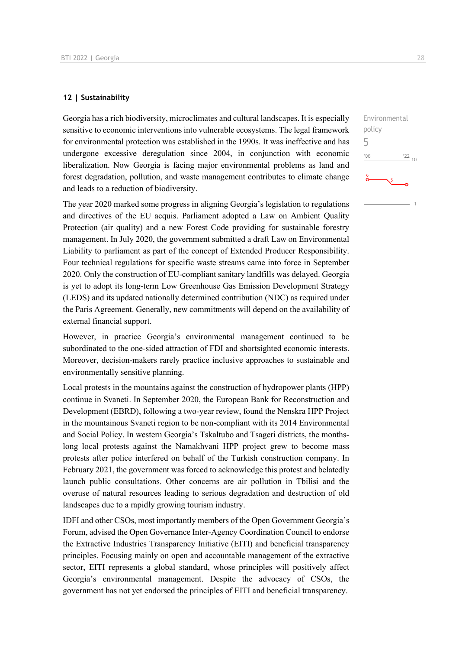### **12 | Sustainability**

Georgia has a rich biodiversity, microclimates and cultural landscapes. It is especially sensitive to economic interventions into vulnerable ecosystems. The legal framework for environmental protection was established in the 1990s. It was ineffective and has undergone excessive deregulation since 2004, in conjunction with economic liberalization. Now Georgia is facing major environmental problems as land and forest degradation, pollution, and waste management contributes to climate change and leads to a reduction of biodiversity.

The year 2020 marked some progress in aligning Georgia's legislation to regulations and directives of the EU acquis. Parliament adopted a Law on Ambient Quality Protection (air quality) and a new Forest Code providing for sustainable forestry management. In July 2020, the government submitted a draft Law on Environmental Liability to parliament as part of the concept of Extended Producer Responsibility. Four technical regulations for specific waste streams came into force in September 2020. Only the construction of EU-compliant sanitary landfills was delayed. Georgia is yet to adopt its long-term Low Greenhouse Gas Emission Development Strategy (LEDS) and its updated nationally determined contribution (NDC) as required under the Paris Agreement. Generally, new commitments will depend on the availability of external financial support.

However, in practice Georgia's environmental management continued to be subordinated to the one-sided attraction of FDI and shortsighted economic interests. Moreover, decision-makers rarely practice inclusive approaches to sustainable and environmentally sensitive planning.

Local protests in the mountains against the construction of hydropower plants (HPP) continue in Svaneti. In September 2020, the European Bank for Reconstruction and Development (EBRD), following a two-year review, found the Nenskra HPP Project in the mountainous Svaneti region to be non-compliant with its 2014 Environmental and Social Policy. In western Georgia's Tskaltubo and Tsageri districts, the monthslong local protests against the Namakhvani HPP project grew to become mass protests after police interfered on behalf of the Turkish construction company. In February 2021, the government was forced to acknowledge this protest and belatedly launch public consultations. Other concerns are air pollution in Tbilisi and the overuse of natural resources leading to serious degradation and destruction of old landscapes due to a rapidly growing tourism industry.

IDFI and other CSOs, most importantly members of the Open Government Georgia's Forum, advised the Open Governance Inter-Agency Coordination Council to endorse the Extractive Industries Transparency Initiative (EITI) and beneficial transparency principles. Focusing mainly on open and accountable management of the extractive sector, EITI represents a global standard, whose principles will positively affect Georgia's environmental management. Despite the advocacy of CSOs, the government has not yet endorsed the principles of EITI and beneficial transparency.

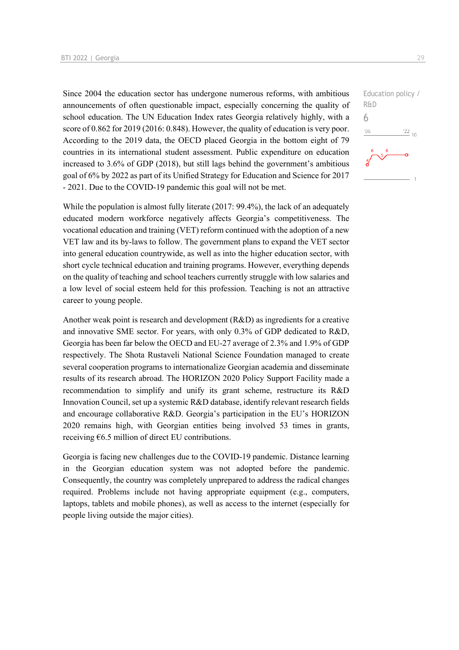Since 2004 the education sector has undergone numerous reforms, with ambitious announcements of often questionable impact, especially concerning the quality of school education. The UN Education Index rates Georgia relatively highly, with a score of 0.862 for 2019 (2016: 0.848). However, the quality of education is very poor. According to the 2019 data, the OECD placed Georgia in the bottom eight of 79 countries in its international student assessment. Public expenditure on education increased to 3.6% of GDP (2018), but still lags behind the government's ambitious goal of 6% by 2022 as part of its Unified Strategy for Education and Science for 2017 - 2021. Due to the COVID-19 pandemic this goal will not be met.

While the population is almost fully literate (2017: 99.4%), the lack of an adequately educated modern workforce negatively affects Georgia's competitiveness. The vocational education and training (VET) reform continued with the adoption of a new VET law and its by-laws to follow. The government plans to expand the VET sector into general education countrywide, as well as into the higher education sector, with short cycle technical education and training programs. However, everything depends on the quality of teaching and school teachers currently struggle with low salaries and a low level of social esteem held for this profession. Teaching is not an attractive career to young people.

Another weak point is research and development (R&D) as ingredients for a creative and innovative SME sector. For years, with only 0.3% of GDP dedicated to R&D, Georgia has been far below the OECD and EU-27 average of 2.3% and 1.9% of GDP respectively. The Shota Rustaveli National Science Foundation managed to create several cooperation programs to internationalize Georgian academia and disseminate results of its research abroad. The HORIZON 2020 Policy Support Facility made a recommendation to simplify and unify its grant scheme, restructure its R&D Innovation Council, set up a systemic R&D database, identify relevant research fields and encourage collaborative R&D. Georgia's participation in the EU's HORIZON 2020 remains high, with Georgian entities being involved 53 times in grants, receiving  $\epsilon$ 6.5 million of direct EU contributions.

Georgia is facing new challenges due to the COVID-19 pandemic. Distance learning in the Georgian education system was not adopted before the pandemic. Consequently, the country was completely unprepared to address the radical changes required. Problems include not having appropriate equipment (e.g., computers, laptops, tablets and mobile phones), as well as access to the internet (especially for people living outside the major cities).

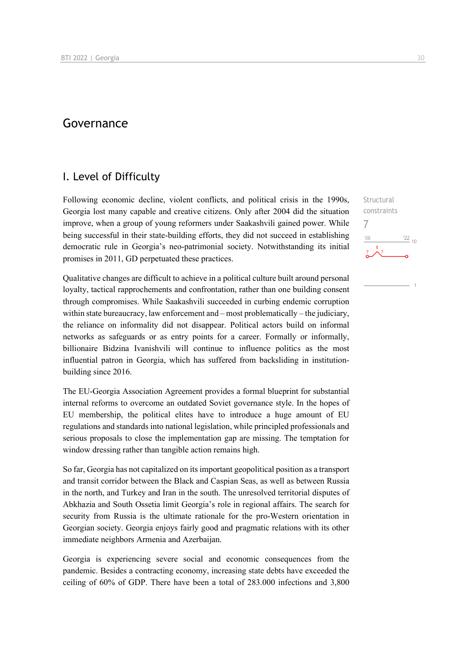## Governance

## I. Level of Difficulty

Following economic decline, violent conflicts, and political crisis in the 1990s, Georgia lost many capable and creative citizens. Only after 2004 did the situation improve, when a group of young reformers under Saakashvili gained power. While being successful in their state-building efforts, they did not succeed in establishing democratic rule in Georgia's neo-patrimonial society. Notwithstanding its initial promises in 2011, GD perpetuated these practices.

Qualitative changes are difficult to achieve in a political culture built around personal loyalty, tactical rapprochements and confrontation, rather than one building consent through compromises. While Saakashvili succeeded in curbing endemic corruption within state bureaucracy, law enforcement and – most problematically – the judiciary, the reliance on informality did not disappear. Political actors build on informal networks as safeguards or as entry points for a career. Formally or informally, billionaire Bidzina Ivanishvili will continue to influence politics as the most influential patron in Georgia, which has suffered from backsliding in institutionbuilding since 2016.

The EU-Georgia Association Agreement provides a formal blueprint for substantial internal reforms to overcome an outdated Soviet governance style. In the hopes of EU membership, the political elites have to introduce a huge amount of EU regulations and standards into national legislation, while principled professionals and serious proposals to close the implementation gap are missing. The temptation for window dressing rather than tangible action remains high.

So far, Georgia has not capitalized on its important geopolitical position as a transport and transit corridor between the Black and Caspian Seas, as well as between Russia in the north, and Turkey and Iran in the south. The unresolved territorial disputes of Abkhazia and South Ossetia limit Georgia's role in regional affairs. The search for security from Russia is the ultimate rationale for the pro-Western orientation in Georgian society. Georgia enjoys fairly good and pragmatic relations with its other immediate neighbors Armenia and Azerbaijan.

Georgia is experiencing severe social and economic consequences from the pandemic. Besides a contracting economy, increasing state debts have exceeded the ceiling of 60% of GDP. There have been a total of 283.000 infections and 3,800

**Structural** constraints

 $^{22}$  10

7

 $106$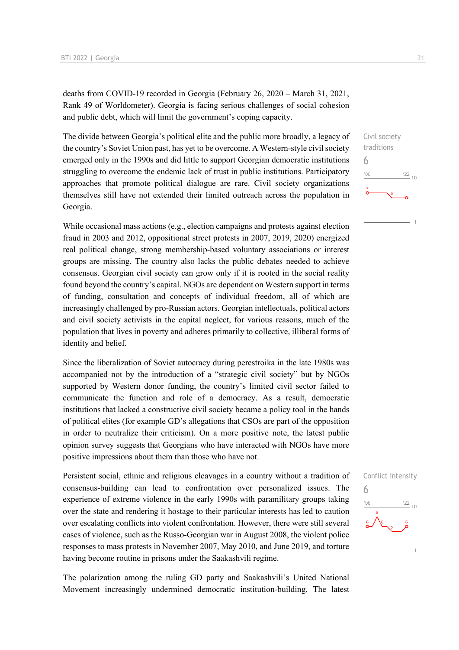deaths from COVID-19 recorded in Georgia (February 26, 2020 – March 31, 2021, Rank 49 of Worldometer). Georgia is facing serious challenges of social cohesion and public debt, which will limit the government's coping capacity.

The divide between Georgia's political elite and the public more broadly, a legacy of the country's Soviet Union past, has yet to be overcome. A Western-style civil society emerged only in the 1990s and did little to support Georgian democratic institutions struggling to overcome the endemic lack of trust in public institutions. Participatory approaches that promote political dialogue are rare. Civil society organizations themselves still have not extended their limited outreach across the population in Georgia.

While occasional mass actions (e.g., election campaigns and protests against election fraud in 2003 and 2012, oppositional street protests in 2007, 2019, 2020) energized real political change, strong membership-based voluntary associations or interest groups are missing. The country also lacks the public debates needed to achieve consensus. Georgian civil society can grow only if it is rooted in the social reality found beyond the country's capital. NGOs are dependent on Western support in terms of funding, consultation and concepts of individual freedom, all of which are increasingly challenged by pro-Russian actors. Georgian intellectuals, political actors and civil society activists in the capital neglect, for various reasons, much of the population that lives in poverty and adheres primarily to collective, illiberal forms of identity and belief.

Since the liberalization of Soviet autocracy during perestroika in the late 1980s was accompanied not by the introduction of a "strategic civil society" but by NGOs supported by Western donor funding, the country's limited civil sector failed to communicate the function and role of a democracy. As a result, democratic institutions that lacked a constructive civil society became a policy tool in the hands of political elites (for example GD's allegations that CSOs are part of the opposition in order to neutralize their criticism). On a more positive note, the latest public opinion survey suggests that Georgians who have interacted with NGOs have more positive impressions about them than those who have not.

Persistent social, ethnic and religious cleavages in a country without a tradition of consensus-building can lead to confrontation over personalized issues. The experience of extreme violence in the early 1990s with paramilitary groups taking over the state and rendering it hostage to their particular interests has led to caution over escalating conflicts into violent confrontation. However, there were still several cases of violence, such as the Russo-Georgian war in August 2008, the violent police responses to mass protests in November 2007, May 2010, and June 2019, and torture having become routine in prisons under the Saakashvili regime.

The polarization among the ruling GD party and Saakashvili's United National Movement increasingly undermined democratic institution-building. The latest



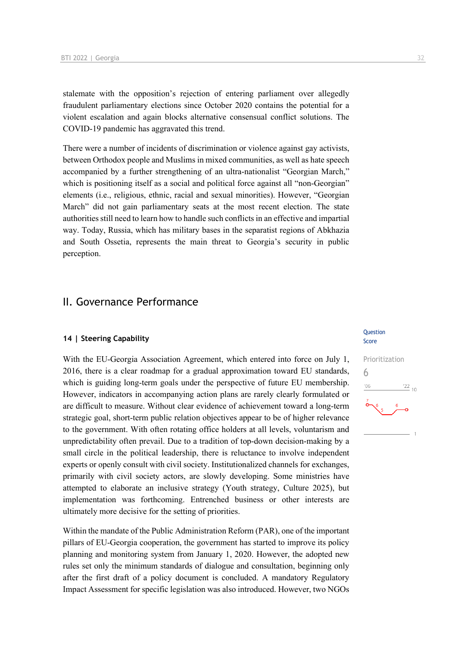stalemate with the opposition's rejection of entering parliament over allegedly fraudulent parliamentary elections since October 2020 contains the potential for a violent escalation and again blocks alternative consensual conflict solutions. The COVID-19 pandemic has aggravated this trend.

There were a number of incidents of discrimination or violence against gay activists, between Orthodox people and Muslims in mixed communities, as well as hate speech accompanied by a further strengthening of an ultra-nationalist "Georgian March," which is positioning itself as a social and political force against all "non-Georgian" elements (i.e., religious, ethnic, racial and sexual minorities). However, "Georgian March" did not gain parliamentary seats at the most recent election. The state authorities still need to learn how to handle such conflicts in an effective and impartial way. Today, Russia, which has military bases in the separatist regions of Abkhazia and South Ossetia, represents the main threat to Georgia's security in public perception.

## II. Governance Performance

### **14 | Steering Capability**

With the EU-Georgia Association Agreement, which entered into force on July 1, 2016, there is a clear roadmap for a gradual approximation toward EU standards, which is guiding long-term goals under the perspective of future EU membership. However, indicators in accompanying action plans are rarely clearly formulated or are difficult to measure. Without clear evidence of achievement toward a long-term strategic goal, short-term public relation objectives appear to be of higher relevance to the government. With often rotating office holders at all levels, voluntarism and unpredictability often prevail. Due to a tradition of top-down decision-making by a small circle in the political leadership, there is reluctance to involve independent experts or openly consult with civil society. Institutionalized channels for exchanges, primarily with civil society actors, are slowly developing. Some ministries have attempted to elaborate an inclusive strategy (Youth strategy, Culture 2025), but implementation was forthcoming. Entrenched business or other interests are ultimately more decisive for the setting of priorities.

Within the mandate of the Public Administration Reform (PAR), one of the important pillars of EU-Georgia cooperation, the government has started to improve its policy planning and monitoring system from January 1, 2020. However, the adopted new rules set only the minimum standards of dialogue and consultation, beginning only after the first draft of a policy document is concluded. A mandatory Regulatory Impact Assessment for specific legislation was also introduced. However, two NGOs

### Question Score

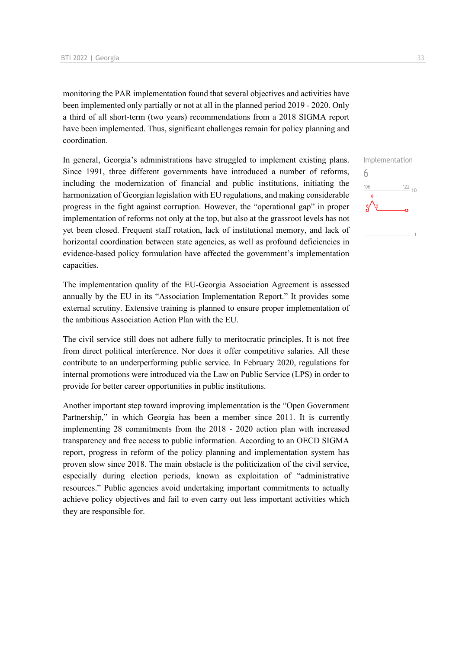monitoring the PAR implementation found that several objectives and activities have been implemented only partially or not at all in the planned period 2019 - 2020. Only a third of all short-term (two years) recommendations from a 2018 SIGMA report have been implemented. Thus, significant challenges remain for policy planning and coordination.

In general, Georgia's administrations have struggled to implement existing plans. Since 1991, three different governments have introduced a number of reforms, including the modernization of financial and public institutions, initiating the harmonization of Georgian legislation with EU regulations, and making considerable progress in the fight against corruption. However, the "operational gap" in proper implementation of reforms not only at the top, but also at the grassroot levels has not yet been closed. Frequent staff rotation, lack of institutional memory, and lack of horizontal coordination between state agencies, as well as profound deficiencies in evidence-based policy formulation have affected the government's implementation capacities.

The implementation quality of the EU-Georgia Association Agreement is assessed annually by the EU in its "Association Implementation Report." It provides some external scrutiny. Extensive training is planned to ensure proper implementation of the ambitious Association Action Plan with the EU.

The civil service still does not adhere fully to meritocratic principles. It is not free from direct political interference. Nor does it offer competitive salaries. All these contribute to an underperforming public service. In February 2020, regulations for internal promotions were introduced via the Law on Public Service (LPS) in order to provide for better career opportunities in public institutions.

Another important step toward improving implementation is the "Open Government Partnership," in which Georgia has been a member since 2011. It is currently implementing 28 commitments from the 2018 - 2020 action plan with increased transparency and free access to public information. According to an OECD SIGMA report, progress in reform of the policy planning and implementation system has proven slow since 2018. The main obstacle is the politicization of the civil service, especially during election periods, known as exploitation of "administrative resources." Public agencies avoid undertaking important commitments to actually achieve policy objectives and fail to even carry out less important activities which they are responsible for.

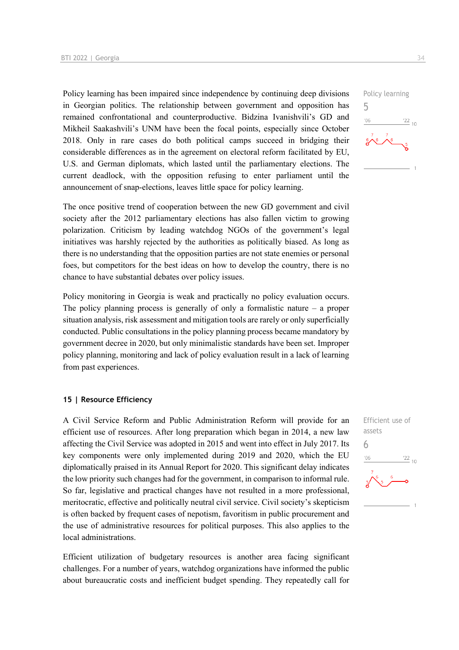Policy learning has been impaired since independence by continuing deep divisions in Georgian politics. The relationship between government and opposition has remained confrontational and counterproductive. Bidzina Ivanishvili's GD and Mikheil Saakashvili's UNM have been the focal points, especially since October 2018. Only in rare cases do both political camps succeed in bridging their considerable differences as in the agreement on electoral reform facilitated by EU, U.S. and German diplomats, which lasted until the parliamentary elections. The current deadlock, with the opposition refusing to enter parliament until the announcement of snap-elections, leaves little space for policy learning.

The once positive trend of cooperation between the new GD government and civil society after the 2012 parliamentary elections has also fallen victim to growing polarization. Criticism by leading watchdog NGOs of the government's legal initiatives was harshly rejected by the authorities as politically biased. As long as there is no understanding that the opposition parties are not state enemies or personal foes, but competitors for the best ideas on how to develop the country, there is no chance to have substantial debates over policy issues.

Policy monitoring in Georgia is weak and practically no policy evaluation occurs. The policy planning process is generally of only a formalistic nature – a proper situation analysis, risk assessment and mitigation tools are rarely or only superficially conducted. Public consultations in the policy planning process became mandatory by government decree in 2020, but only minimalistic standards have been set. Improper policy planning, monitoring and lack of policy evaluation result in a lack of learning from past experiences.

### **15 | Resource Efficiency**

A Civil Service Reform and Public Administration Reform will provide for an efficient use of resources. After long preparation which began in 2014, a new law affecting the Civil Service was adopted in 2015 and went into effect in July 2017. Its key components were only implemented during 2019 and 2020, which the EU diplomatically praised in its Annual Report for 2020. This significant delay indicates the low priority such changes had for the government, in comparison to informal rule. So far, legislative and practical changes have not resulted in a more professional, meritocratic, effective and politically neutral civil service. Civil society's skepticism is often backed by frequent cases of nepotism, favoritism in public procurement and the use of administrative resources for political purposes. This also applies to the local administrations.

Efficient utilization of budgetary resources is another area facing significant challenges. For a number of years, watchdog organizations have informed the public about bureaucratic costs and inefficient budget spending. They repeatedly call for



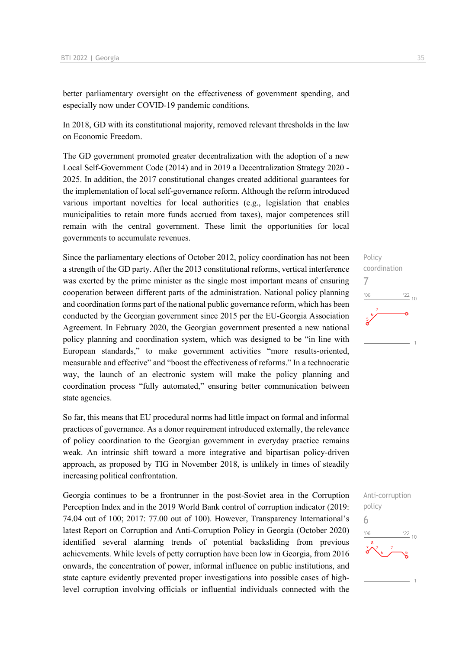better parliamentary oversight on the effectiveness of government spending, and especially now under COVID-19 pandemic conditions.

In 2018, GD with its constitutional majority, removed relevant thresholds in the law on Economic Freedom.

The GD government promoted greater decentralization with the adoption of a new Local Self-Government Code (2014) and in 2019 a Decentralization Strategy 2020 - 2025. In addition, the 2017 constitutional changes created additional guarantees for the implementation of local self-governance reform. Although the reform introduced various important novelties for local authorities (e.g., legislation that enables municipalities to retain more funds accrued from taxes), major competences still remain with the central government. These limit the opportunities for local governments to accumulate revenues.

Since the parliamentary elections of October 2012, policy coordination has not been a strength of the GD party. After the 2013 constitutional reforms, vertical interference was exerted by the prime minister as the single most important means of ensuring cooperation between different parts of the administration. National policy planning and coordination forms part of the national public governance reform, which has been conducted by the Georgian government since 2015 per the EU-Georgia Association Agreement. In February 2020, the Georgian government presented a new national policy planning and coordination system, which was designed to be "in line with European standards," to make government activities "more results-oriented, measurable and effective" and "boost the effectiveness of reforms." In a technocratic way, the launch of an electronic system will make the policy planning and coordination process "fully automated," ensuring better communication between state agencies.

So far, this means that EU procedural norms had little impact on formal and informal practices of governance. As a donor requirement introduced externally, the relevance of policy coordination to the Georgian government in everyday practice remains weak. An intrinsic shift toward a more integrative and bipartisan policy-driven approach, as proposed by TIG in November 2018, is unlikely in times of steadily increasing political confrontation.

Georgia continues to be a frontrunner in the post-Soviet area in the Corruption Perception Index and in the 2019 World Bank control of corruption indicator (2019: 74.04 out of 100; 2017: 77.00 out of 100). However, Transparency International's latest Report on Corruption and Anti-Corruption Policy in Georgia (October 2020) identified several alarming trends of potential backsliding from previous achievements. While levels of petty corruption have been low in Georgia, from 2016 onwards, the concentration of power, informal influence on public institutions, and state capture evidently prevented proper investigations into possible cases of highlevel corruption involving officials or influential individuals connected with the



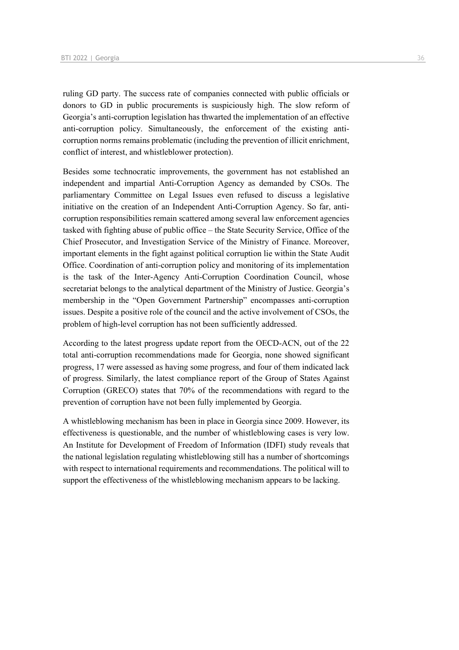ruling GD party. The success rate of companies connected with public officials or donors to GD in public procurements is suspiciously high. The slow reform of Georgia's anti-corruption legislation has thwarted the implementation of an effective anti-corruption policy. Simultaneously, the enforcement of the existing anticorruption norms remains problematic (including the prevention of illicit enrichment, conflict of interest, and whistleblower protection).

Besides some technocratic improvements, the government has not established an independent and impartial Anti-Corruption Agency as demanded by CSOs. The parliamentary Committee on Legal Issues even refused to discuss a legislative initiative on the creation of an Independent Anti-Corruption Agency. So far, anticorruption responsibilities remain scattered among several law enforcement agencies tasked with fighting abuse of public office – the State Security Service, Office of the Chief Prosecutor, and Investigation Service of the Ministry of Finance. Moreover, important elements in the fight against political corruption lie within the State Audit Office. Coordination of anti-corruption policy and monitoring of its implementation is the task of the Inter-Agency Anti-Corruption Coordination Council, whose secretariat belongs to the analytical department of the Ministry of Justice. Georgia's membership in the "Open Government Partnership" encompasses anti-corruption issues. Despite a positive role of the council and the active involvement of CSOs, the problem of high-level corruption has not been sufficiently addressed.

According to the latest progress update report from the OECD-ACN, out of the 22 total anti-corruption recommendations made for Georgia, none showed significant progress, 17 were assessed as having some progress, and four of them indicated lack of progress. Similarly, the latest compliance report of the Group of States Against Corruption (GRECO) states that 70% of the recommendations with regard to the prevention of corruption have not been fully implemented by Georgia.

A whistleblowing mechanism has been in place in Georgia since 2009. However, its effectiveness is questionable, and the number of whistleblowing cases is very low. An Institute for Development of Freedom of Information (IDFI) study reveals that the national legislation regulating whistleblowing still has a number of shortcomings with respect to international requirements and recommendations. The political will to support the effectiveness of the whistleblowing mechanism appears to be lacking.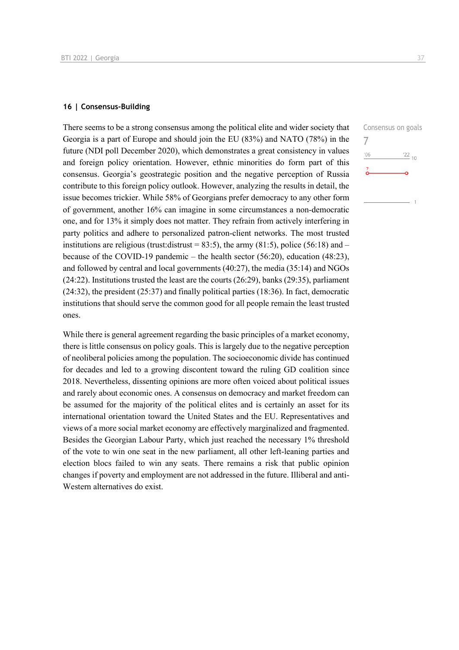### **16 | Consensus-Building**

There seems to be a strong consensus among the political elite and wider society that Georgia is a part of Europe and should join the EU (83%) and NATO (78%) in the future (NDI poll December 2020), which demonstrates a great consistency in values and foreign policy orientation. However, ethnic minorities do form part of this consensus. Georgia's geostrategic position and the negative perception of Russia contribute to this foreign policy outlook. However, analyzing the results in detail, the issue becomes trickier. While 58% of Georgians prefer democracy to any other form of government, another 16% can imagine in some circumstances a non-democratic one, and for 13% it simply does not matter. They refrain from actively interfering in party politics and adhere to personalized patron-client networks. The most trusted institutions are religious (trust:distrust = 83:5), the army (81:5), police (56:18) and – because of the COVID-19 pandemic – the health sector (56:20), education (48:23), and followed by central and local governments (40:27), the media (35:14) and NGOs (24:22). Institutions trusted the least are the courts (26:29), banks (29:35), parliament (24:32), the president (25:37) and finally political parties (18:36). In fact, democratic institutions that should serve the common good for all people remain the least trusted ones.

While there is general agreement regarding the basic principles of a market economy, there is little consensus on policy goals. This is largely due to the negative perception of neoliberal policies among the population. The socioeconomic divide has continued for decades and led to a growing discontent toward the ruling GD coalition since 2018. Nevertheless, dissenting opinions are more often voiced about political issues and rarely about economic ones. A consensus on democracy and market freedom can be assumed for the majority of the political elites and is certainly an asset for its international orientation toward the United States and the EU. Representatives and views of a more social market economy are effectively marginalized and fragmented. Besides the Georgian Labour Party, which just reached the necessary 1% threshold of the vote to win one seat in the new parliament, all other left-leaning parties and election blocs failed to win any seats. There remains a risk that public opinion changes if poverty and employment are not addressed in the future. Illiberal and anti-Western alternatives do exist.

Consensus on goals 7 $^{\prime}06$  $^{22}$  10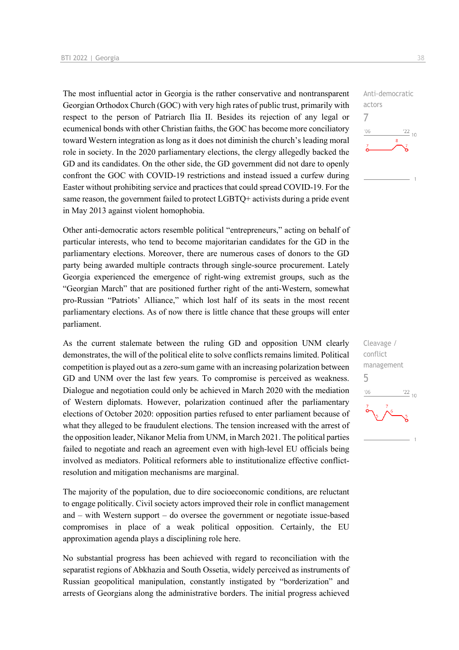The most influential actor in Georgia is the rather conservative and nontransparent Georgian Orthodox Church (GOC) with very high rates of public trust, primarily with respect to the person of Patriarch Ilia II. Besides its rejection of any legal or ecumenical bonds with other Christian faiths, the GOC has become more conciliatory toward Western integration as long as it does not diminish the church's leading moral role in society. In the 2020 parliamentary elections, the clergy allegedly backed the GD and its candidates. On the other side, the GD government did not dare to openly confront the GOC with COVID-19 restrictions and instead issued a curfew during Easter without prohibiting service and practices that could spread COVID-19. For the same reason, the government failed to protect LGBTQ+ activists during a pride event in May 2013 against violent homophobia.

Other anti-democratic actors resemble political "entrepreneurs," acting on behalf of particular interests, who tend to become majoritarian candidates for the GD in the parliamentary elections. Moreover, there are numerous cases of donors to the GD party being awarded multiple contracts through single-source procurement. Lately Georgia experienced the emergence of right-wing extremist groups, such as the "Georgian March" that are positioned further right of the anti-Western, somewhat pro-Russian "Patriots' Alliance," which lost half of its seats in the most recent parliamentary elections. As of now there is little chance that these groups will enter parliament.

As the current stalemate between the ruling GD and opposition UNM clearly demonstrates, the will of the political elite to solve conflicts remains limited. Political competition is played out as a zero-sum game with an increasing polarization between GD and UNM over the last few years. To compromise is perceived as weakness. Dialogue and negotiation could only be achieved in March 2020 with the mediation of Western diplomats. However, polarization continued after the parliamentary elections of October 2020: opposition parties refused to enter parliament because of what they alleged to be fraudulent elections. The tension increased with the arrest of the opposition leader, Nikanor Melia from UNM, in March 2021. The political parties failed to negotiate and reach an agreement even with high-level EU officials being involved as mediators. Political reformers able to institutionalize effective conflictresolution and mitigation mechanisms are marginal.

The majority of the population, due to dire socioeconomic conditions, are reluctant to engage politically. Civil society actors improved their role in conflict management and – with Western support – do oversee the government or negotiate issue-based compromises in place of a weak political opposition. Certainly, the EU approximation agenda plays a disciplining role here.

No substantial progress has been achieved with regard to reconciliation with the separatist regions of Abkhazia and South Ossetia, widely perceived as instruments of Russian geopolitical manipulation, constantly instigated by "borderization" and arrests of Georgians along the administrative borders. The initial progress achieved

Anti-democratic actors 7  $-06$  $\frac{22}{10}$ 

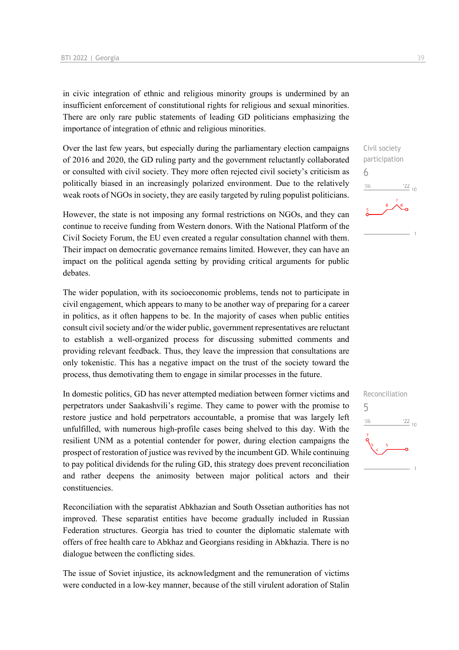in civic integration of ethnic and religious minority groups is undermined by an insufficient enforcement of constitutional rights for religious and sexual minorities. There are only rare public statements of leading GD politicians emphasizing the importance of integration of ethnic and religious minorities.

Over the last few years, but especially during the parliamentary election campaigns of 2016 and 2020, the GD ruling party and the government reluctantly collaborated or consulted with civil society. They more often rejected civil society's criticism as politically biased in an increasingly polarized environment. Due to the relatively weak roots of NGOs in society, they are easily targeted by ruling populist politicians.

However, the state is not imposing any formal restrictions on NGOs, and they can continue to receive funding from Western donors. With the National Platform of the Civil Society Forum, the EU even created a regular consultation channel with them. Their impact on democratic governance remains limited. However, they can have an impact on the political agenda setting by providing critical arguments for public debates.

The wider population, with its socioeconomic problems, tends not to participate in civil engagement, which appears to many to be another way of preparing for a career in politics, as it often happens to be. In the majority of cases when public entities consult civil society and/or the wider public, government representatives are reluctant to establish a well-organized process for discussing submitted comments and providing relevant feedback. Thus, they leave the impression that consultations are only tokenistic. This has a negative impact on the trust of the society toward the process, thus demotivating them to engage in similar processes in the future.

In domestic politics, GD has never attempted mediation between former victims and perpetrators under Saakashvili's regime. They came to power with the promise to restore justice and hold perpetrators accountable, a promise that was largely left unfulfilled, with numerous high-profile cases being shelved to this day. With the resilient UNM as a potential contender for power, during election campaigns the prospect of restoration of justice was revived by the incumbent GD. While continuing to pay political dividends for the ruling GD, this strategy does prevent reconciliation and rather deepens the animosity between major political actors and their constituencies.

Reconciliation with the separatist Abkhazian and South Ossetian authorities has not improved. These separatist entities have become gradually included in Russian Federation structures. Georgia has tried to counter the diplomatic stalemate with offers of free health care to Abkhaz and Georgians residing in Abkhazia. There is no dialogue between the conflicting sides.

The issue of Soviet injustice, its acknowledgment and the remuneration of victims were conducted in a low-key manner, because of the still virulent adoration of Stalin

Civil society participation 6  $\frac{22}{10}$  $'06$ 

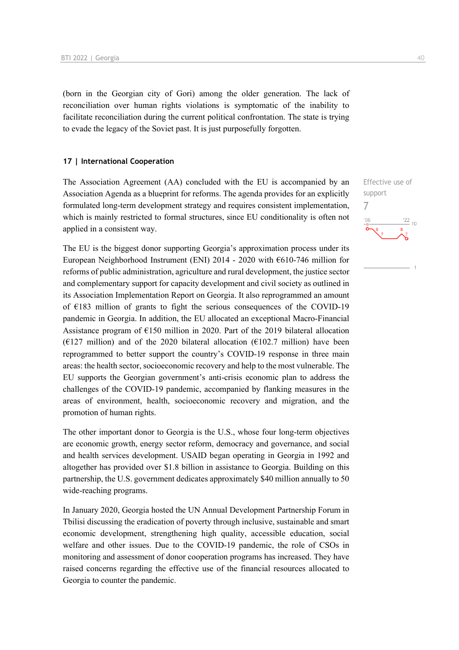(born in the Georgian city of Gori) among the older generation. The lack of reconciliation over human rights violations is symptomatic of the inability to facilitate reconciliation during the current political confrontation. The state is trying to evade the legacy of the Soviet past. It is just purposefully forgotten.

### **17 | International Cooperation**

The Association Agreement (AA) concluded with the EU is accompanied by an Association Agenda as a blueprint for reforms. The agenda provides for an explicitly formulated long-term development strategy and requires consistent implementation, which is mainly restricted to formal structures, since EU conditionality is often not applied in a consistent way.

The EU is the biggest donor supporting Georgia's approximation process under its European Neighborhood Instrument (ENI) 2014 - 2020 with  $\epsilon$ 610-746 million for reforms of public administration, agriculture and rural development, the justice sector and complementary support for capacity development and civil society as outlined in its Association Implementation Report on Georgia. It also reprogrammed an amount of €183 million of grants to fight the serious consequences of the COVID-19 pandemic in Georgia. In addition, the EU allocated an exceptional Macro-Financial Assistance program of €150 million in 2020. Part of the 2019 bilateral allocation ( $E127$  million) and of the 2020 bilateral allocation ( $E102.7$  million) have been reprogrammed to better support the country's COVID-19 response in three main areas: the health sector, socioeconomic recovery and help to the most vulnerable. The EU supports the Georgian government's anti-crisis economic plan to address the challenges of the COVID-19 pandemic, accompanied by flanking measures in the areas of environment, health, socioeconomic recovery and migration, and the promotion of human rights.

The other important donor to Georgia is the U.S., whose four long-term objectives are economic growth, energy sector reform, democracy and governance, and social and health services development. USAID began operating in Georgia in 1992 and altogether has provided over \$1.8 billion in assistance to Georgia. Building on this partnership, the U.S. government dedicates approximately \$40 million annually to 50 wide-reaching programs.

In January 2020, Georgia hosted the UN Annual Development Partnership Forum in Tbilisi discussing the eradication of poverty through inclusive, sustainable and smart economic development, strengthening high quality, accessible education, social welfare and other issues. Due to the COVID-19 pandemic, the role of CSOs in monitoring and assessment of donor cooperation programs has increased. They have raised concerns regarding the effective use of the financial resources allocated to Georgia to counter the pandemic.

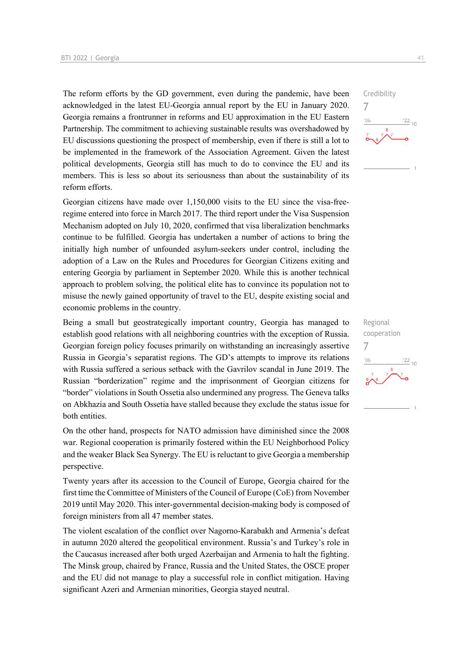The reform efforts by the GD government, even during the pandemic, have been acknowledged in the latest EU-Georgia annual report by the EU in January 2020. Georgia remains a frontrunner in reforms and EU approximation in the EU Eastern Partnership. The commitment to achieving sustainable results was overshadowed by EU discussions questioning the prospect of membership, even if there is still a lot to be implemented in the framework of the Association Agreement. Given the latest political developments, Georgia still has much to do to convince the EU and its members. This is less so about its seriousness than about the sustainability of its reform efforts.

Georgian citizens have made over 1,150,000 visits to the EU since the visa-freeregime entered into force in March 2017. The third report under the Visa Suspension Mechanism adopted on July 10, 2020, confirmed that visa liberalization benchmarks continue to be fulfilled. Georgia has undertaken a number of actions to bring the initially high number of unfounded asylum-seekers under control, including the adoption of a Law on the Rules and Procedures for Georgian Citizens exiting and entering Georgia by parliament in September 2020. While this is another technical approach to problem solving, the political elite has to convince its population not to misuse the newly gained opportunity of travel to the EU, despite existing social and economic problems in the country.

Being a small but geostrategically important country, Georgia has managed to establish good relations with all neighboring countries with the exception of Russia. Georgian foreign policy focuses primarily on withstanding an increasingly assertive Russia in Georgia's separatist regions. The GD's attempts to improve its relations with Russia suffered a serious setback with the Gavrilov scandal in June 2019. The Russian "borderization" regime and the imprisonment of Georgian citizens for "border" violations in South Ossetia also undermined any progress. The Geneva talks on Abkhazia and South Ossetia have stalled because they exclude the status issue for both entities.

On the other hand, prospects for NATO admission have diminished since the 2008 war. Regional cooperation is primarily fostered within the EU Neighborhood Policy and the weaker Black Sea Synergy. The EU is reluctant to give Georgia a membership perspective.

Twenty years after its accession to the Council of Europe, Georgia chaired for the first time the Committee of Ministers of the Council of Europe (CoE) from November 2019 until May 2020. This inter-governmental decision-making body is composed of foreign ministers from all 47 member states.

The violent escalation of the conflict over Nagorno-Karabakh and Armenia's defeat in autumn 2020 altered the geopolitical environment. Russia's and Turkey's role in the Caucasus increased after both urged Azerbaijan and Armenia to halt the fighting. The Minsk group, chaired by France, Russia and the United States, the OSCE proper and the EU did not manage to play a successful role in conflict mitigation. Having significant Azeri and Armenian minorities, Georgia stayed neutral.



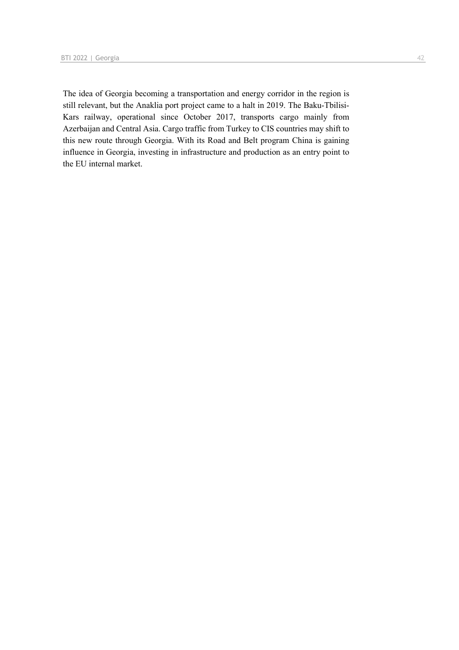The idea of Georgia becoming a transportation and energy corridor in the region is still relevant, but the Anaklia port project came to a halt in 2019. The Baku-Tbilisi-Kars railway, operational since October 2017, transports cargo mainly from Azerbaijan and Central Asia. Cargo traffic from Turkey to CIS countries may shift to this new route through Georgia. With its Road and Belt program China is gaining influence in Georgia, investing in infrastructure and production as an entry point to the EU internal market.